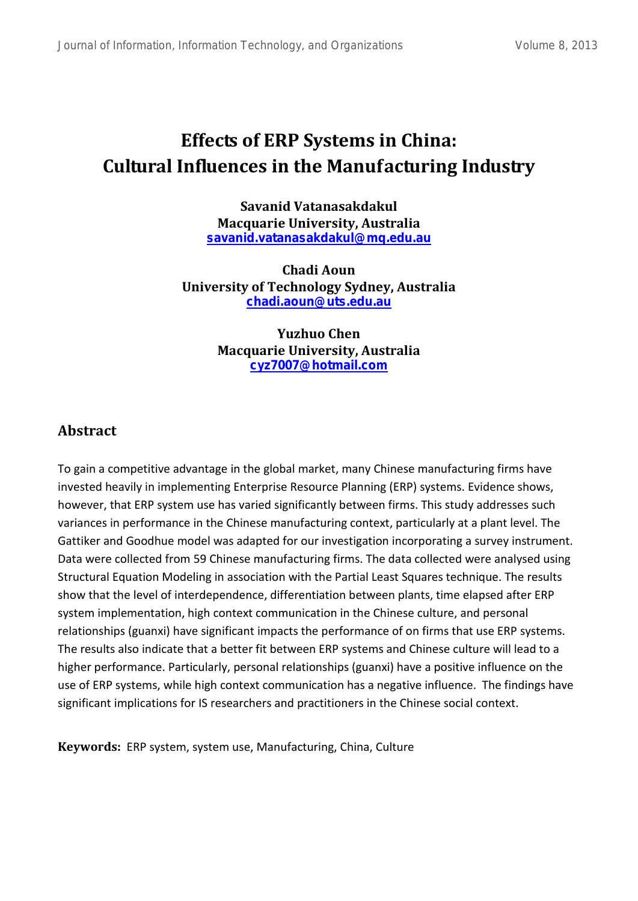# **Effects of ERP Systems in China: Cultural Influences in the Manufacturing Industry**

**Savanid Vatanasakdakul Macquarie University, Australia [savanid.vatanasakdakul@mq.edu.au](mailto:savanid.vatanasakdakul@mq.edu.au)**

**Chadi Aoun University of Technology Sydney, Australia [chadi.aoun@uts.edu.au](mailto:chadi.aoun@uts.edu.au)**

> **Yuzhuo Chen Macquarie University, Australia [cyz7007@hotmail.com](mailto:cyz7007@hotmail.com)**

### **Abstract**

To gain a competitive advantage in the global market, many Chinese manufacturing firms have invested heavily in implementing Enterprise Resource Planning (ERP) systems. Evidence shows, however, that ERP system use has varied significantly between firms. This study addresses such variances in performance in the Chinese manufacturing context, particularly at a plant level. The Gattiker and Goodhue model was adapted for our investigation incorporating a survey instrument. Data were collected from 59 Chinese manufacturing firms. The data collected were analysed using Structural Equation Modeling in association with the Partial Least Squares technique. The results show that the level of interdependence, differentiation between plants, time elapsed after ERP system implementation, high context communication in the Chinese culture, and personal relationships (guanxi) have significant impacts the performance of on firms that use ERP systems. The results also indicate that a better fit between ERP systems and Chinese culture will lead to a higher performance. Particularly, personal relationships (guanxi) have a positive influence on the use of ERP systems, while high context communication has a negative influence. The findings have significant implications for IS researchers and practitioners in the Chinese social context.

**Keywords:** ERP system, system use, Manufacturing, China, Culture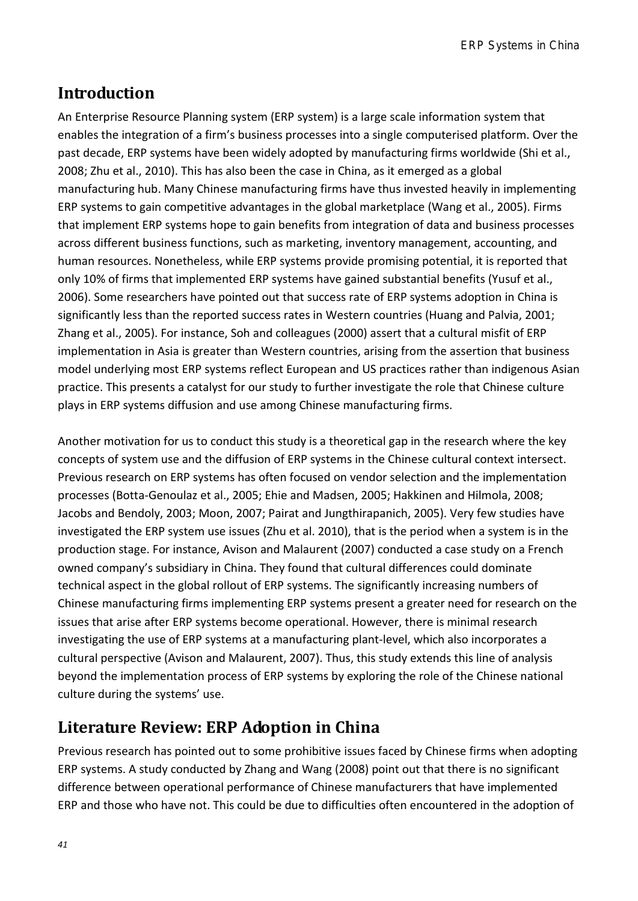ERP Systems in China

## **Introduction**

An Enterprise Resource Planning system (ERP system) is a large scale information system that enables the integration of a firm's business processes into a single computerised platform. Over the past decade, ERP systems have been widely adopted by manufacturing firms worldwide (Shi et al., 2008; Zhu et al., 2010). This has also been the case in China, as it emerged as a global manufacturing hub. Many Chinese manufacturing firms have thus invested heavily in implementing ERP systems to gain competitive advantages in the global marketplace (Wang et al., 2005). Firms that implement ERP systems hope to gain benefits from integration of data and business processes across different business functions, such as marketing, inventory management, accounting, and human resources. Nonetheless, while ERP systems provide promising potential, it is reported that only 10% of firms that implemented ERP systems have gained substantial benefits (Yusuf et al., 2006). Some researchers have pointed out that success rate of ERP systems adoption in China is significantly less than the reported success rates in Western countries (Huang and Palvia, 2001; Zhang et al., 2005). For instance, Soh and colleagues (2000) assert that a cultural misfit of ERP implementation in Asia is greater than Western countries, arising from the assertion that business model underlying most ERP systems reflect European and US practices rather than indigenous Asian practice. This presents a catalyst for our study to further investigate the role that Chinese culture plays in ERP systems diffusion and use among Chinese manufacturing firms.

Another motivation for us to conduct this study is a theoretical gap in the research where the key concepts of system use and the diffusion of ERP systems in the Chinese cultural context intersect. Previous research on ERP systems has often focused on vendor selection and the implementation processes (Botta-Genoulaz et al., 2005; Ehie and Madsen, 2005; Hakkinen and Hilmola, 2008; Jacobs and Bendoly, 2003; Moon, 2007; Pairat and Jungthirapanich, 2005). Very few studies have investigated the ERP system use issues (Zhu et al. 2010), that is the period when a system is in the production stage. For instance, Avison and Malaurent (2007) conducted a case study on a French owned company's subsidiary in China. They found that cultural differences could dominate technical aspect in the global rollout of ERP systems. The significantly increasing numbers of Chinese manufacturing firms implementing ERP systems present a greater need for research on the issues that arise after ERP systems become operational. However, there is minimal research investigating the use of ERP systems at a manufacturing plant-level, which also incorporates a cultural perspective (Avison and Malaurent, 2007). Thus, this study extends this line of analysis beyond the implementation process of ERP systems by exploring the role of the Chinese national culture during the systems' use.

## **Literature Review: ERP Adoption in China**

Previous research has pointed out to some prohibitive issues faced by Chinese firms when adopting ERP systems. A study conducted by Zhang and Wang (2008) point out that there is no significant difference between operational performance of Chinese manufacturers that have implemented ERP and those who have not. This could be due to difficulties often encountered in the adoption of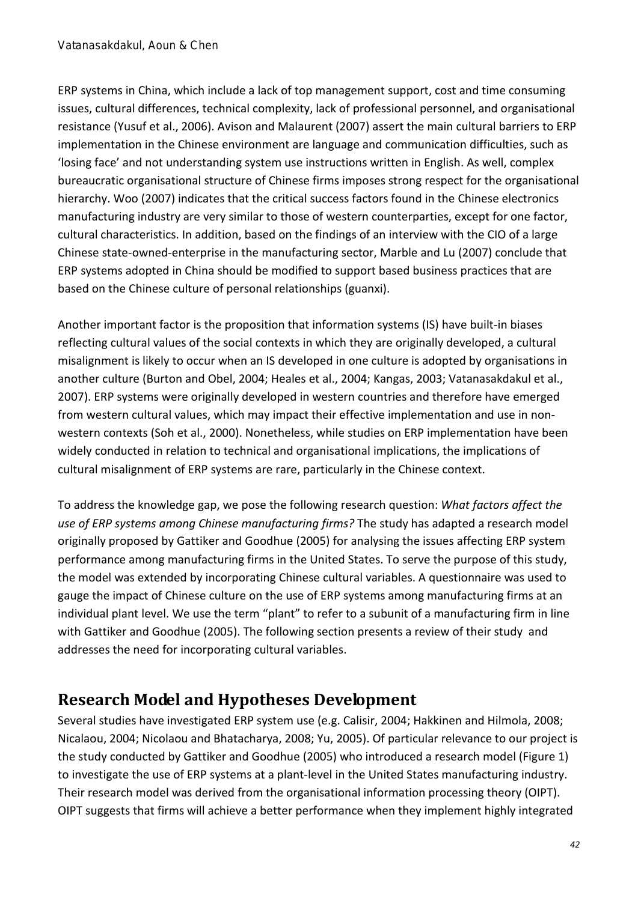ERP systems in China, which include a lack of top management support, cost and time consuming issues, cultural differences, technical complexity, lack of professional personnel, and organisational resistance (Yusuf et al., 2006). Avison and Malaurent (2007) assert the main cultural barriers to ERP implementation in the Chinese environment are language and communication difficulties, such as 'losing face' and not understanding system use instructions written in English. As well, complex bureaucratic organisational structure of Chinese firms imposes strong respect for the organisational hierarchy. Woo (2007) indicates that the critical success factors found in the Chinese electronics manufacturing industry are very similar to those of western counterparties, except for one factor, cultural characteristics. In addition, based on the findings of an interview with the CIO of a large Chinese state-owned-enterprise in the manufacturing sector, Marble and Lu (2007) conclude that ERP systems adopted in China should be modified to support based business practices that are based on the Chinese culture of personal relationships (guanxi).

Another important factor is the proposition that information systems (IS) have built-in biases reflecting cultural values of the social contexts in which they are originally developed, a cultural misalignment is likely to occur when an IS developed in one culture is adopted by organisations in another culture (Burton and Obel, 2004; Heales et al., 2004; Kangas, 2003; Vatanasakdakul et al., 2007). ERP systems were originally developed in western countries and therefore have emerged from western cultural values, which may impact their effective implementation and use in nonwestern contexts (Soh et al., 2000). Nonetheless, while studies on ERP implementation have been widely conducted in relation to technical and organisational implications, the implications of cultural misalignment of ERP systems are rare, particularly in the Chinese context.

To address the knowledge gap, we pose the following research question: *What factors affect the use of ERP systems among Chinese manufacturing firms?* The study has adapted a research model originally proposed by Gattiker and Goodhue (2005) for analysing the issues affecting ERP system performance among manufacturing firms in the United States. To serve the purpose of this study, the model was extended by incorporating Chinese cultural variables. A questionnaire was used to gauge the impact of Chinese culture on the use of ERP systems among manufacturing firms at an individual plant level. We use the term "plant" to refer to a subunit of a manufacturing firm in line with Gattiker and Goodhue (2005). The following section presents a review of their study and addresses the need for incorporating cultural variables.

## **Research Model and Hypotheses Development**

Several studies have investigated ERP system use (e.g. Calisir, 2004; Hakkinen and Hilmola, 2008; Nicalaou, 2004; Nicolaou and Bhatacharya, 2008; Yu, 2005). Of particular relevance to our project is the study conducted by Gattiker and Goodhue (2005) who introduced a research model (Figure 1) to investigate the use of ERP systems at a plant-level in the United States manufacturing industry. Their research model was derived from the organisational information processing theory (OIPT). OIPT suggests that firms will achieve a better performance when they implement highly integrated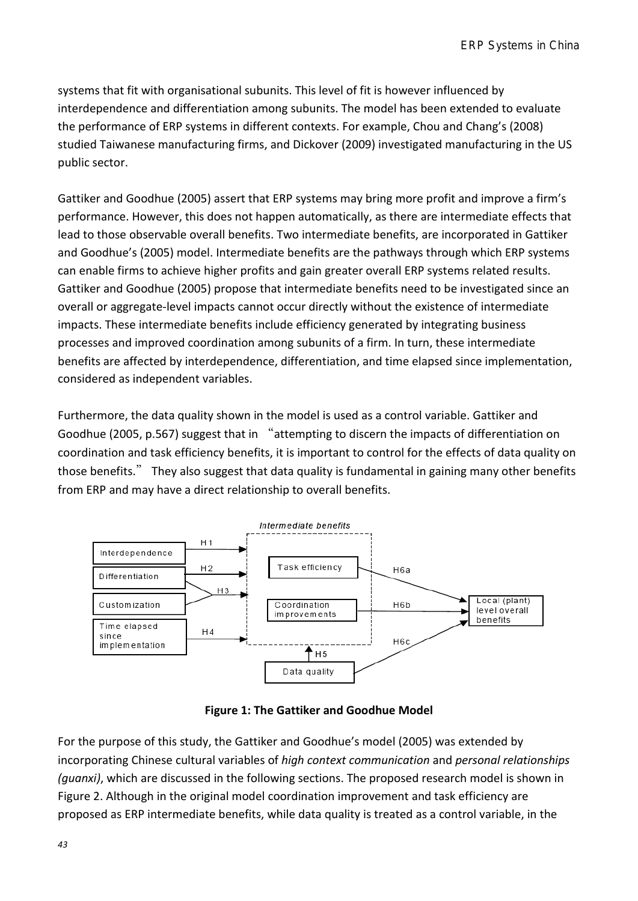systems that fit with organisational subunits. This level of fit is however influenced by interdependence and differentiation among subunits. The model has been extended to evaluate the performance of ERP systems in different contexts. For example, Chou and Chang's (2008) studied Taiwanese manufacturing firms, and Dickover (2009) investigated manufacturing in the US public sector.

Gattiker and Goodhue (2005) assert that ERP systems may bring more profit and improve a firm's performance. However, this does not happen automatically, as there are intermediate effects that lead to those observable overall benefits. Two intermediate benefits, are incorporated in Gattiker and Goodhue's (2005) model. Intermediate benefits are the pathways through which ERP systems can enable firms to achieve higher profits and gain greater overall ERP systems related results. Gattiker and Goodhue (2005) propose that intermediate benefits need to be investigated since an overall or aggregate-level impacts cannot occur directly without the existence of intermediate impacts. These intermediate benefits include efficiency generated by integrating business processes and improved coordination among subunits of a firm. In turn, these intermediate benefits are affected by interdependence, differentiation, and time elapsed since implementation, considered as independent variables.

Furthermore, the data quality shown in the model is used as a control variable. Gattiker and Goodhue (2005, p.567) suggest that in "attempting to discern the impacts of differentiation on coordination and task efficiency benefits, it is important to control for the effects of data quality on those benefits." They also suggest that data quality is fundamental in gaining many other benefits from ERP and may have a direct relationship to overall benefits.



**Figure 1: The Gattiker and Goodhue Model**

For the purpose of this study, the Gattiker and Goodhue's model (2005) was extended by incorporating Chinese cultural variables of *high context communication* and *personal relationships (guanxi)*, which are discussed in the following sections. The proposed research model is shown in Figure 2. Although in the original model coordination improvement and task efficiency are proposed as ERP intermediate benefits, while data quality is treated as a control variable, in the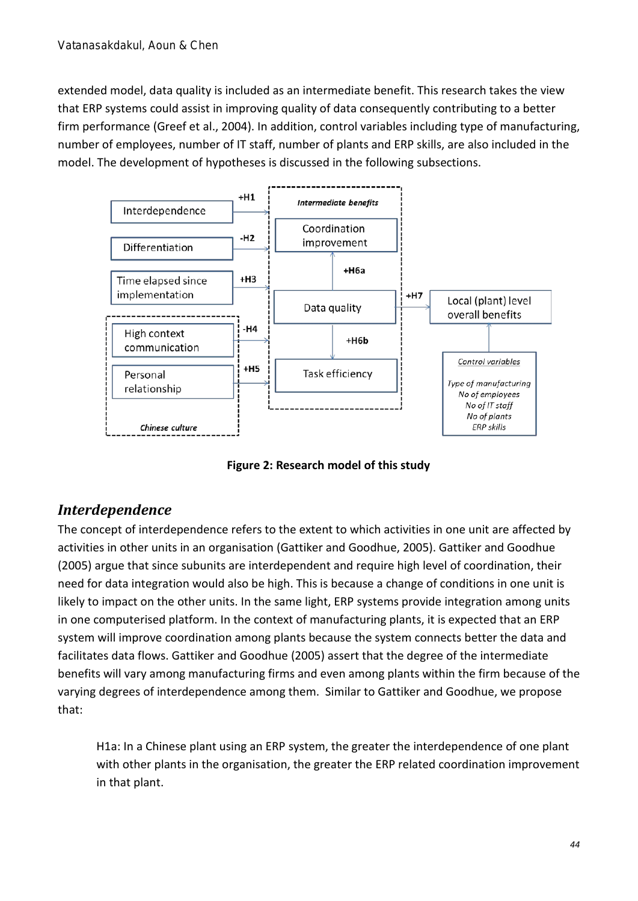extended model, data quality is included as an intermediate benefit. This research takes the view that ERP systems could assist in improving quality of data consequently contributing to a better firm performance (Greef et al., 2004). In addition, control variables including type of manufacturing, number of employees, number of IT staff, number of plants and ERP skills, are also included in the model. The development of hypotheses is discussed in the following subsections.



**Figure 2: Research model of this study**

## *Interdependence*

The concept of interdependence refers to the extent to which activities in one unit are affected by activities in other units in an organisation (Gattiker and Goodhue, 2005). Gattiker and Goodhue (2005) argue that since subunits are interdependent and require high level of coordination, their need for data integration would also be high. This is because a change of conditions in one unit is likely to impact on the other units. In the same light, ERP systems provide integration among units in one computerised platform. In the context of manufacturing plants, it is expected that an ERP system will improve coordination among plants because the system connects better the data and facilitates data flows. Gattiker and Goodhue (2005) assert that the degree of the intermediate benefits will vary among manufacturing firms and even among plants within the firm because of the varying degrees of interdependence among them. Similar to Gattiker and Goodhue, we propose that:

H1a: In a Chinese plant using an ERP system, the greater the interdependence of one plant with other plants in the organisation, the greater the ERP related coordination improvement in that plant.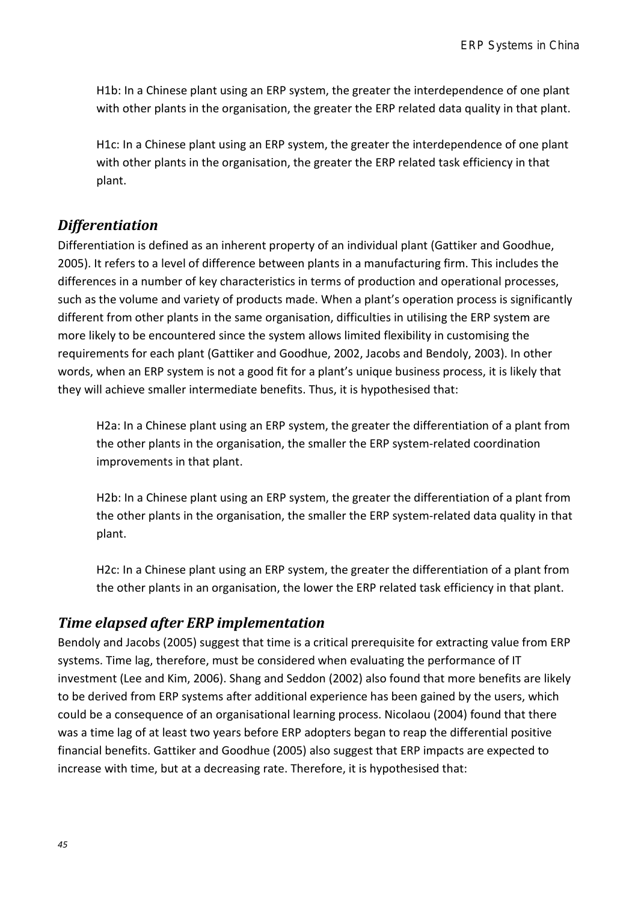H1b: In a Chinese plant using an ERP system, the greater the interdependence of one plant with other plants in the organisation, the greater the ERP related data quality in that plant.

H1c: In a Chinese plant using an ERP system, the greater the interdependence of one plant with other plants in the organisation, the greater the ERP related task efficiency in that plant.

### *Differentiation*

Differentiation is defined as an inherent property of an individual plant (Gattiker and Goodhue, 2005). It refers to a level of difference between plants in a manufacturing firm. This includes the differences in a number of key characteristics in terms of production and operational processes, such as the volume and variety of products made. When a plant's operation process is significantly different from other plants in the same organisation, difficulties in utilising the ERP system are more likely to be encountered since the system allows limited flexibility in customising the requirements for each plant (Gattiker and Goodhue, 2002, Jacobs and Bendoly, 2003). In other words, when an ERP system is not a good fit for a plant's unique business process, it is likely that they will achieve smaller intermediate benefits. Thus, it is hypothesised that:

H2a: In a Chinese plant using an ERP system, the greater the differentiation of a plant from the other plants in the organisation, the smaller the ERP system-related coordination improvements in that plant.

H2b: In a Chinese plant using an ERP system, the greater the differentiation of a plant from the other plants in the organisation, the smaller the ERP system-related data quality in that plant.

H2c: In a Chinese plant using an ERP system, the greater the differentiation of a plant from the other plants in an organisation, the lower the ERP related task efficiency in that plant.

### *Time elapsed after ERP implementation*

Bendoly and Jacobs (2005) suggest that time is a critical prerequisite for extracting value from ERP systems. Time lag, therefore, must be considered when evaluating the performance of IT investment (Lee and Kim, 2006). Shang and Seddon (2002) also found that more benefits are likely to be derived from ERP systems after additional experience has been gained by the users, which could be a consequence of an organisational learning process. Nicolaou (2004) found that there was a time lag of at least two years before ERP adopters began to reap the differential positive financial benefits. Gattiker and Goodhue (2005) also suggest that ERP impacts are expected to increase with time, but at a decreasing rate. Therefore, it is hypothesised that: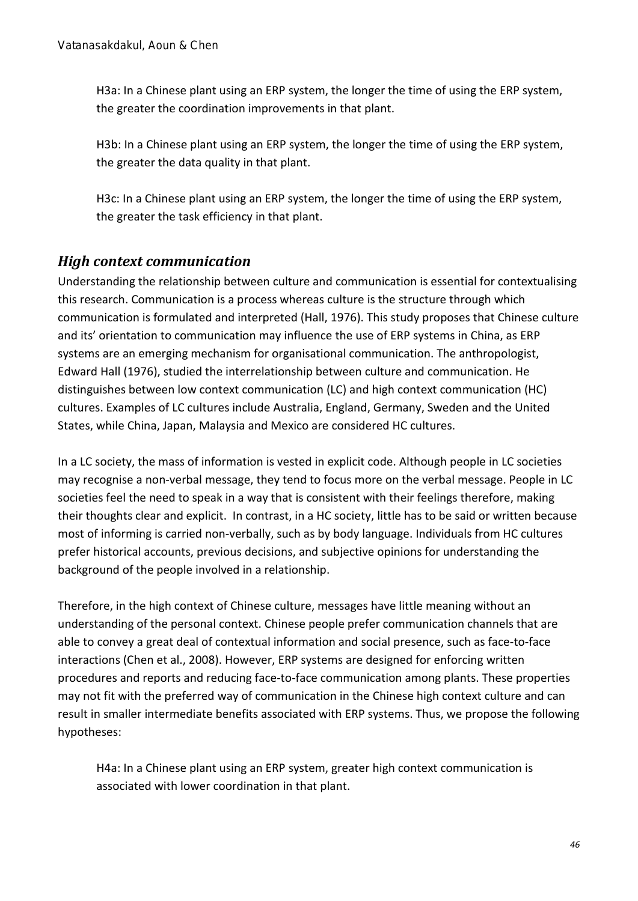H3a: In a Chinese plant using an ERP system, the longer the time of using the ERP system, the greater the coordination improvements in that plant.

H3b: In a Chinese plant using an ERP system, the longer the time of using the ERP system, the greater the data quality in that plant.

H3c: In a Chinese plant using an ERP system, the longer the time of using the ERP system, the greater the task efficiency in that plant.

## *High context communication*

Understanding the relationship between culture and communication is essential for contextualising this research. Communication is a process whereas culture is the structure through which communication is formulated and interpreted (Hall, 1976). This study proposes that Chinese culture and its' orientation to communication may influence the use of ERP systems in China, as ERP systems are an emerging mechanism for organisational communication. The anthropologist, Edward Hall (1976), studied the interrelationship between culture and communication. He distinguishes between low context communication (LC) and high context communication (HC) cultures. Examples of LC cultures include Australia, England, Germany, Sweden and the United States, while China, Japan, Malaysia and Mexico are considered HC cultures.

In a LC society, the mass of information is vested in explicit code. Although people in LC societies may recognise a non-verbal message, they tend to focus more on the verbal message. People in LC societies feel the need to speak in a way that is consistent with their feelings therefore, making their thoughts clear and explicit. In contrast, in a HC society, little has to be said or written because most of informing is carried non-verbally, such as by body language. Individuals from HC cultures prefer historical accounts, previous decisions, and subjective opinions for understanding the background of the people involved in a relationship.

Therefore, in the high context of Chinese culture, messages have little meaning without an understanding of the personal context. Chinese people prefer communication channels that are able to convey a great deal of contextual information and social presence, such as face-to-face interactions (Chen et al., 2008). However, ERP systems are designed for enforcing written procedures and reports and reducing face-to-face communication among plants. These properties may not fit with the preferred way of communication in the Chinese high context culture and can result in smaller intermediate benefits associated with ERP systems. Thus, we propose the following hypotheses:

H4a: In a Chinese plant using an ERP system, greater high context communication is associated with lower coordination in that plant.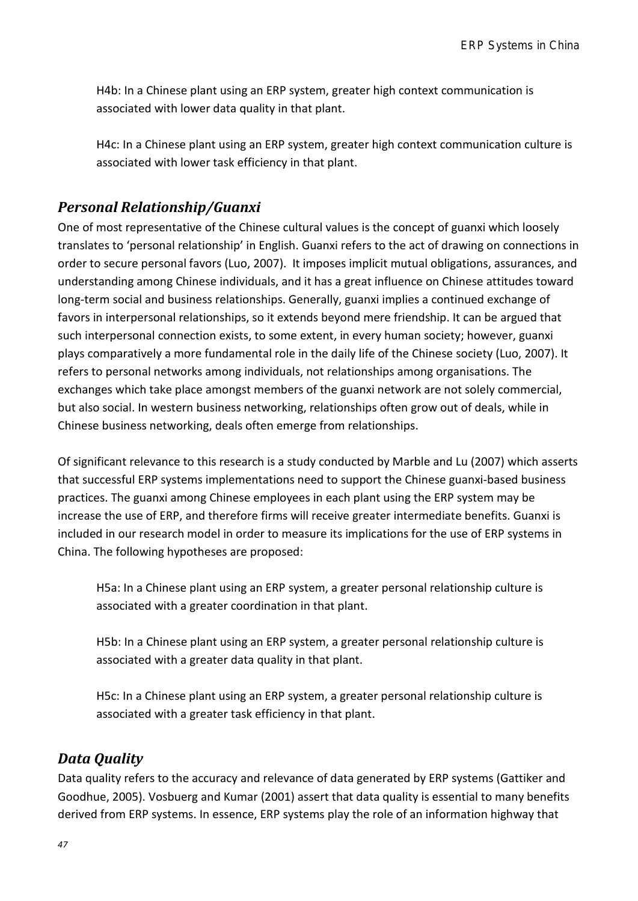H4b: In a Chinese plant using an ERP system, greater high context communication is associated with lower data quality in that plant.

H4c: In a Chinese plant using an ERP system, greater high context communication culture is associated with lower task efficiency in that plant.

### *Personal Relationship/Guanxi*

One of most representative of the Chinese cultural values is the concept of guanxi which loosely translates to 'personal relationship' in English. Guanxi refers to the act of drawing on connections in order to secure personal favors (Luo, 2007). It imposes implicit mutual obligations, assurances, and understanding among Chinese individuals, and it has a great influence on Chinese attitudes toward long-term social and business relationships. Generally, guanxi implies a continued exchange of favors in interpersonal relationships, so it extends beyond mere friendship. It can be argued that such interpersonal connection exists, to some extent, in every human society; however, guanxi plays comparatively a more fundamental role in the daily life of the Chinese society (Luo, 2007). It refers to personal networks among individuals, not relationships among organisations. The exchanges which take place amongst members of the guanxi network are not solely commercial, but also social. In western business networking, relationships often grow out of deals, while in Chinese business networking, deals often emerge from relationships.

Of significant relevance to this research is a study conducted by Marble and Lu (2007) which asserts that successful ERP systems implementations need to support the Chinese guanxi-based business practices. The guanxi among Chinese employees in each plant using the ERP system may be increase the use of ERP, and therefore firms will receive greater intermediate benefits. Guanxi is included in our research model in order to measure its implications for the use of ERP systems in China. The following hypotheses are proposed:

H5a: In a Chinese plant using an ERP system, a greater personal relationship culture is associated with a greater coordination in that plant.

H5b: In a Chinese plant using an ERP system, a greater personal relationship culture is associated with a greater data quality in that plant.

H5c: In a Chinese plant using an ERP system, a greater personal relationship culture is associated with a greater task efficiency in that plant.

### *Data Quality*

Data quality refers to the accuracy and relevance of data generated by ERP systems (Gattiker and Goodhue, 2005). Vosbuerg and Kumar (2001) assert that data quality is essential to many benefits derived from ERP systems. In essence, ERP systems play the role of an information highway that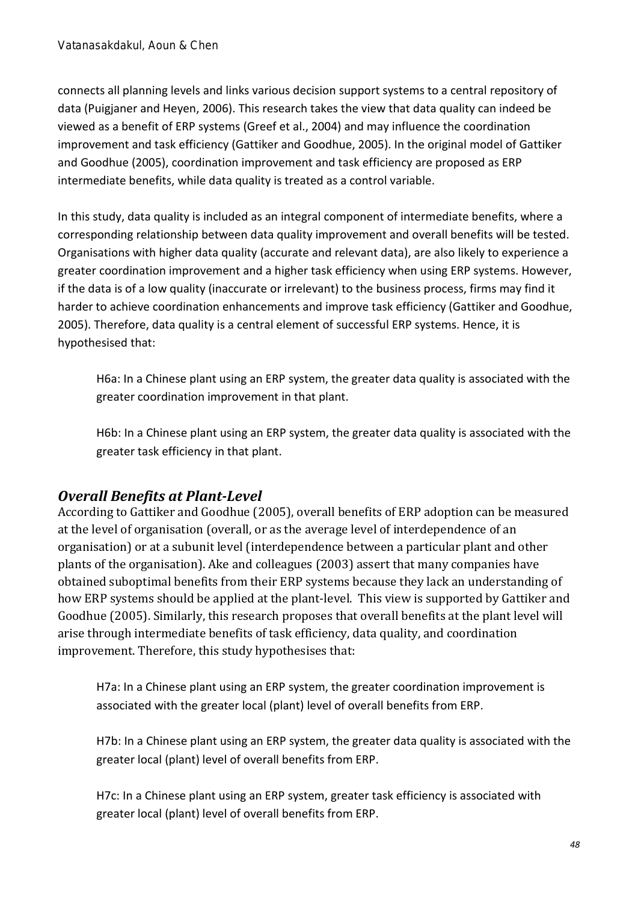connects all planning levels and links various decision support systems to a central repository of data (Puigjaner and Heyen, 2006). This research takes the view that data quality can indeed be viewed as a benefit of ERP systems (Greef et al., 2004) and may influence the coordination improvement and task efficiency (Gattiker and Goodhue, 2005). In the original model of Gattiker and Goodhue (2005), coordination improvement and task efficiency are proposed as ERP intermediate benefits, while data quality is treated as a control variable.

In this study, data quality is included as an integral component of intermediate benefits, where a corresponding relationship between data quality improvement and overall benefits will be tested. Organisations with higher data quality (accurate and relevant data), are also likely to experience a greater coordination improvement and a higher task efficiency when using ERP systems. However, if the data is of a low quality (inaccurate or irrelevant) to the business process, firms may find it harder to achieve coordination enhancements and improve task efficiency (Gattiker and Goodhue, 2005). Therefore, data quality is a central element of successful ERP systems. Hence, it is hypothesised that:

H6a: In a Chinese plant using an ERP system, the greater data quality is associated with the greater coordination improvement in that plant.

H6b: In a Chinese plant using an ERP system, the greater data quality is associated with the greater task efficiency in that plant.

## *Overall Benefits at Plant-Level*

According to Gattiker and Goodhue (2005), overall benefits of ERP adoption can be measured at the level of organisation (overall, or as the average level of interdependence of an organisation) or at a subunit level (interdependence between a particular plant and other plants of the organisation). Ake and colleagues (2003) assert that many companies have obtained suboptimal benefits from their ERP systems because they lack an understanding of how ERP systems should be applied at the plant-level. This view is supported by Gattiker and Goodhue (2005). Similarly, this research proposes that overall benefits at the plant level will arise through intermediate benefits of task efficiency, data quality, and coordination improvement. Therefore, this study hypothesises that:

H7a: In a Chinese plant using an ERP system, the greater coordination improvement is associated with the greater local (plant) level of overall benefits from ERP.

H7b: In a Chinese plant using an ERP system, the greater data quality is associated with the greater local (plant) level of overall benefits from ERP.

H7c: In a Chinese plant using an ERP system, greater task efficiency is associated with greater local (plant) level of overall benefits from ERP.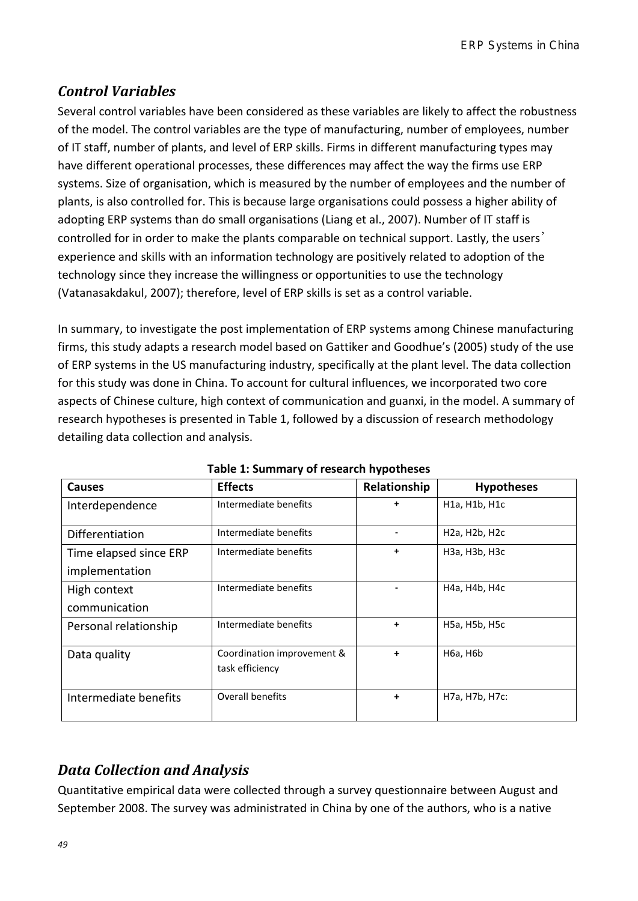## *Control Variables*

Several control variables have been considered as these variables are likely to affect the robustness of the model. The control variables are the type of manufacturing, number of employees, number of IT staff, number of plants, and level of ERP skills. Firms in different manufacturing types may have different operational processes, these differences may affect the way the firms use ERP systems. Size of organisation, which is measured by the number of employees and the number of plants, is also controlled for. This is because large organisations could possess a higher ability of adopting ERP systems than do small organisations (Liang et al., 2007). Number of IT staff is controlled for in order to make the plants comparable on technical support. Lastly, the users' experience and skills with an information technology are positively related to adoption of the technology since they increase the willingness or opportunities to use the technology (Vatanasakdakul, 2007); therefore, level of ERP skills is set as a control variable.

In summary, to investigate the post implementation of ERP systems among Chinese manufacturing firms, this study adapts a research model based on Gattiker and Goodhue's (2005) study of the use of ERP systems in the US manufacturing industry, specifically at the plant level. The data collection for this study was done in China. To account for cultural influences, we incorporated two core aspects of Chinese culture, high context of communication and guanxi, in the model. A summary of research hypotheses is presented in Table 1, followed by a discussion of research methodology detailing data collection and analysis.

| <b>Causes</b>          | <b>Effects</b>                                | Relationship | <b>Hypotheses</b>                                    |
|------------------------|-----------------------------------------------|--------------|------------------------------------------------------|
| Interdependence        | Intermediate benefits                         | $\ddot{}$    | H <sub>1</sub> a, H <sub>1</sub> b, H <sub>1</sub> c |
| Differentiation        | Intermediate benefits                         |              | H <sub>2</sub> a, H <sub>2</sub> b, H <sub>2</sub> c |
| Time elapsed since ERP | Intermediate benefits                         | $\ddot{}$    | H <sub>3</sub> a, H <sub>3</sub> b, H <sub>3</sub> c |
| implementation         |                                               |              |                                                      |
| High context           | Intermediate benefits                         |              | H4a, H4b, H4c                                        |
| communication          |                                               |              |                                                      |
| Personal relationship  | Intermediate benefits                         | $\ddot{}$    | H5a, H5b, H5c                                        |
| Data quality           | Coordination improvement &<br>task efficiency | $\ddot{}$    | <b>H6a, H6b</b>                                      |
| Intermediate benefits  | Overall benefits                              | $\ddot{}$    | H7a, H7b, H7c:                                       |

**Table 1: Summary of research hypotheses** 

## *Data Collection and Analysis*

Quantitative empirical data were collected through a survey questionnaire between August and September 2008. The survey was administrated in China by one of the authors, who is a native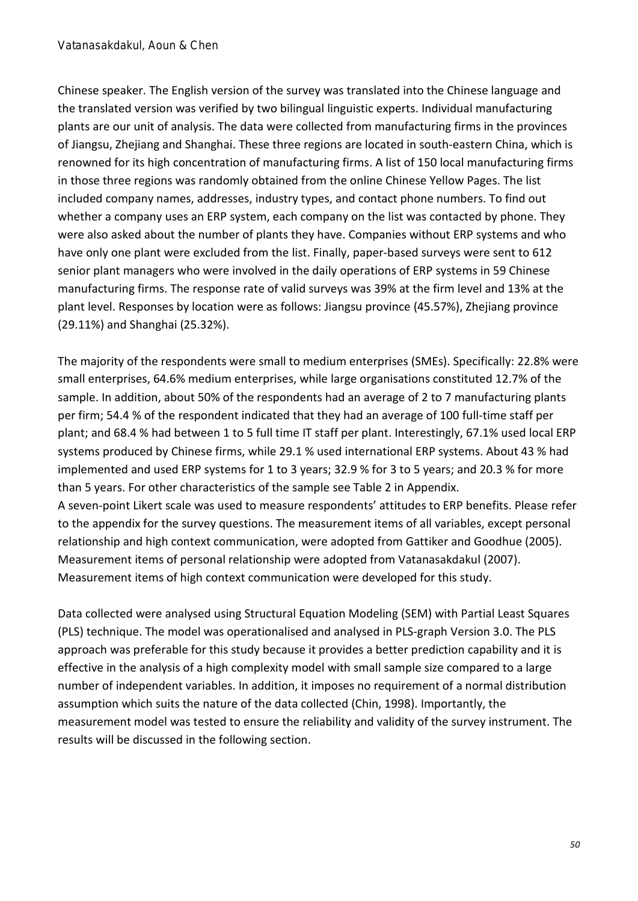Chinese speaker. The English version of the survey was translated into the Chinese language and the translated version was verified by two bilingual linguistic experts. Individual manufacturing plants are our unit of analysis. The data were collected from manufacturing firms in the provinces of Jiangsu, Zhejiang and Shanghai. These three regions are located in south-eastern China, which is renowned for its high concentration of manufacturing firms. A list of 150 local manufacturing firms in those three regions was randomly obtained from the online Chinese Yellow Pages. The list included company names, addresses, industry types, and contact phone numbers. To find out whether a company uses an ERP system, each company on the list was contacted by phone. They were also asked about the number of plants they have. Companies without ERP systems and who have only one plant were excluded from the list. Finally, paper-based surveys were sent to 612 senior plant managers who were involved in the daily operations of ERP systems in 59 Chinese manufacturing firms. The response rate of valid surveys was 39% at the firm level and 13% at the plant level. Responses by location were as follows: Jiangsu province (45.57%), Zhejiang province (29.11%) and Shanghai (25.32%).

The majority of the respondents were small to medium enterprises (SMEs). Specifically: 22.8% were small enterprises, 64.6% medium enterprises, while large organisations constituted 12.7% of the sample. In addition, about 50% of the respondents had an average of 2 to 7 manufacturing plants per firm; 54.4 % of the respondent indicated that they had an average of 100 full-time staff per plant; and 68.4 % had between 1 to 5 full time IT staff per plant. Interestingly, 67.1% used local ERP systems produced by Chinese firms, while 29.1 % used international ERP systems. About 43 % had implemented and used ERP systems for 1 to 3 years; 32.9 % for 3 to 5 years; and 20.3 % for more than 5 years. For other characteristics of the sample see Table 2 in Appendix. A seven-point Likert scale was used to measure respondents' attitudes to ERP benefits. Please refer to the appendix for the survey questions. The measurement items of all variables, except personal relationship and high context communication, were adopted from Gattiker and Goodhue (2005).

Measurement items of personal relationship were adopted from Vatanasakdakul (2007). Measurement items of high context communication were developed for this study.

Data collected were analysed using Structural Equation Modeling (SEM) with Partial Least Squares (PLS) technique. The model was operationalised and analysed in PLS-graph Version 3.0. The PLS approach was preferable for this study because it provides a better prediction capability and it is effective in the analysis of a high complexity model with small sample size compared to a large number of independent variables. In addition, it imposes no requirement of a normal distribution assumption which suits the nature of the data collected (Chin, 1998). Importantly, the measurement model was tested to ensure the reliability and validity of the survey instrument. The results will be discussed in the following section.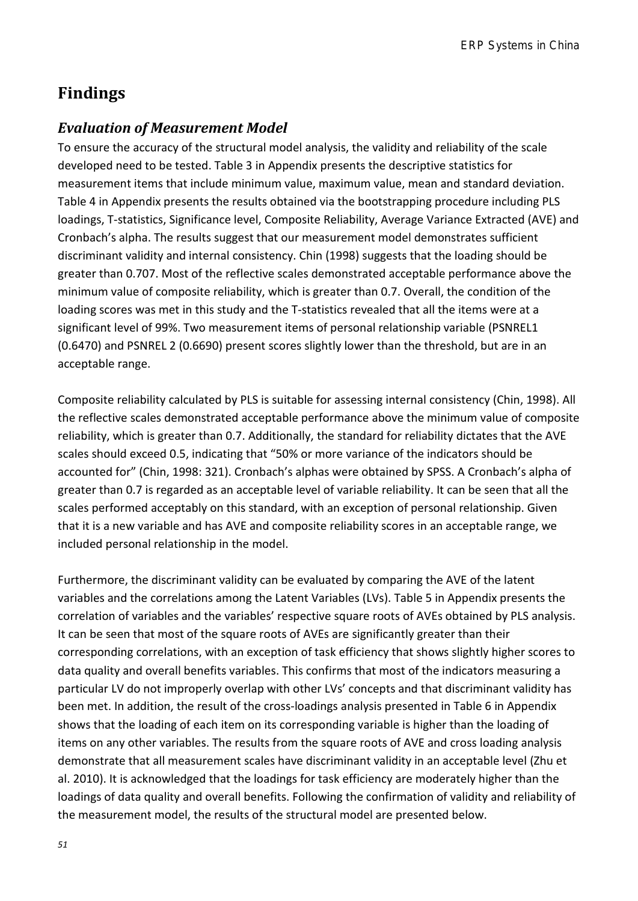## **Findings**

### *Evaluation of Measurement Model*

To ensure the accuracy of the structural model analysis, the validity and reliability of the scale developed need to be tested. Table 3 in Appendix presents the descriptive statistics for measurement items that include minimum value, maximum value, mean and standard deviation. Table 4 in Appendix presents the results obtained via the bootstrapping procedure including PLS loadings, T-statistics, Significance level, Composite Reliability, Average Variance Extracted (AVE) and Cronbach's alpha. The results suggest that our measurement model demonstrates sufficient discriminant validity and internal consistency. Chin (1998) suggests that the loading should be greater than 0.707. Most of the reflective scales demonstrated acceptable performance above the minimum value of composite reliability, which is greater than 0.7. Overall, the condition of the loading scores was met in this study and the T-statistics revealed that all the items were at a significant level of 99%. Two measurement items of personal relationship variable (PSNREL1 (0.6470) and PSNREL 2 (0.6690) present scores slightly lower than the threshold, but are in an acceptable range.

Composite reliability calculated by PLS is suitable for assessing internal consistency (Chin, 1998). All the reflective scales demonstrated acceptable performance above the minimum value of composite reliability, which is greater than 0.7. Additionally, the standard for reliability dictates that the AVE scales should exceed 0.5, indicating that "50% or more variance of the indicators should be accounted for" (Chin, 1998: 321). Cronbach's alphas were obtained by SPSS. A Cronbach's alpha of greater than 0.7 is regarded as an acceptable level of variable reliability. It can be seen that all the scales performed acceptably on this standard, with an exception of personal relationship. Given that it is a new variable and has AVE and composite reliability scores in an acceptable range, we included personal relationship in the model.

Furthermore, the discriminant validity can be evaluated by comparing the AVE of the latent variables and the correlations among the Latent Variables (LVs). Table 5 in Appendix presents the correlation of variables and the variables' respective square roots of AVEs obtained by PLS analysis. It can be seen that most of the square roots of AVEs are significantly greater than their corresponding correlations, with an exception of task efficiency that shows slightly higher scores to data quality and overall benefits variables. This confirms that most of the indicators measuring a particular LV do not improperly overlap with other LVs' concepts and that discriminant validity has been met. In addition, the result of the cross-loadings analysis presented in Table 6 in Appendix shows that the loading of each item on its corresponding variable is higher than the loading of items on any other variables. The results from the square roots of AVE and cross loading analysis demonstrate that all measurement scales have discriminant validity in an acceptable level (Zhu et al. 2010). It is acknowledged that the loadings for task efficiency are moderately higher than the loadings of data quality and overall benefits. Following the confirmation of validity and reliability of the measurement model, the results of the structural model are presented below.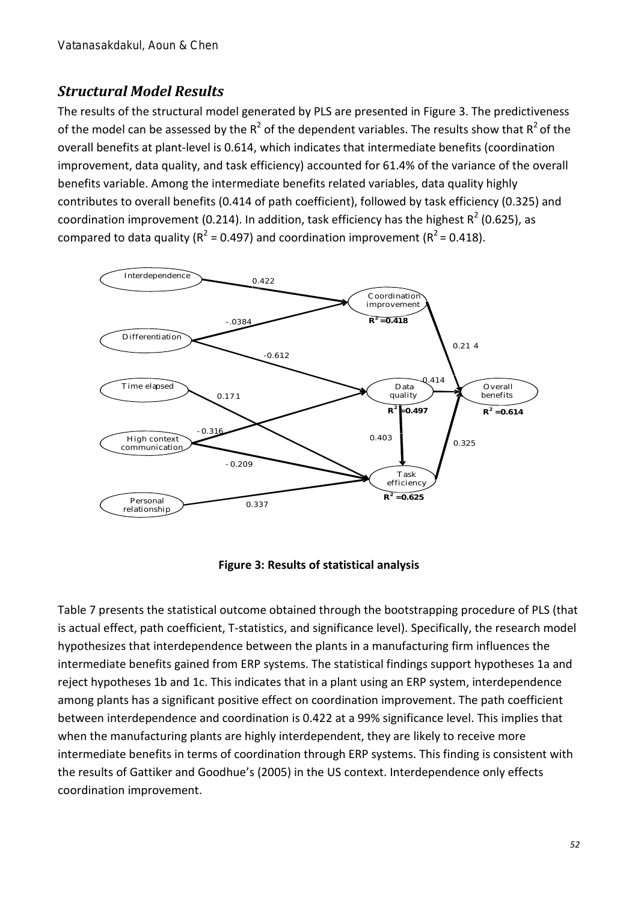## *Structural Model Results*

The results of the structural model generated by PLS are presented in Figure 3. The predictiveness of the model can be assessed by the  $R^2$  of the dependent variables. The results show that  $R^2$  of the overall benefits at plant-level is 0.614, which indicates that intermediate benefits (coordination improvement, data quality, and task efficiency) accounted for 61.4% of the variance of the overall benefits variable. Among the intermediate benefits related variables, data quality highly contributes to overall benefits (0.414 of path coefficient), followed by task efficiency (0.325) and coordination improvement (0.214). In addition, task efficiency has the highest  $R^2$  (0.625), as compared to data quality ( $R^2$  = 0.497) and coordination improvement ( $R^2$  = 0.418).



#### **Figure 3: Results of statistical analysis**

Table 7 presents the statistical outcome obtained through the bootstrapping procedure of PLS (that is actual effect, path coefficient, T-statistics, and significance level). Specifically, the research model hypothesizes that interdependence between the plants in a manufacturing firm influences the intermediate benefits gained from ERP systems. The statistical findings support hypotheses 1a and reject hypotheses 1b and 1c. This indicates that in a plant using an ERP system, interdependence among plants has a significant positive effect on coordination improvement. The path coefficient between interdependence and coordination is 0.422 at a 99% significance level. This implies that when the manufacturing plants are highly interdependent, they are likely to receive more intermediate benefits in terms of coordination through ERP systems. This finding is consistent with the results of Gattiker and Goodhue's (2005) in the US context. Interdependence only effects coordination improvement.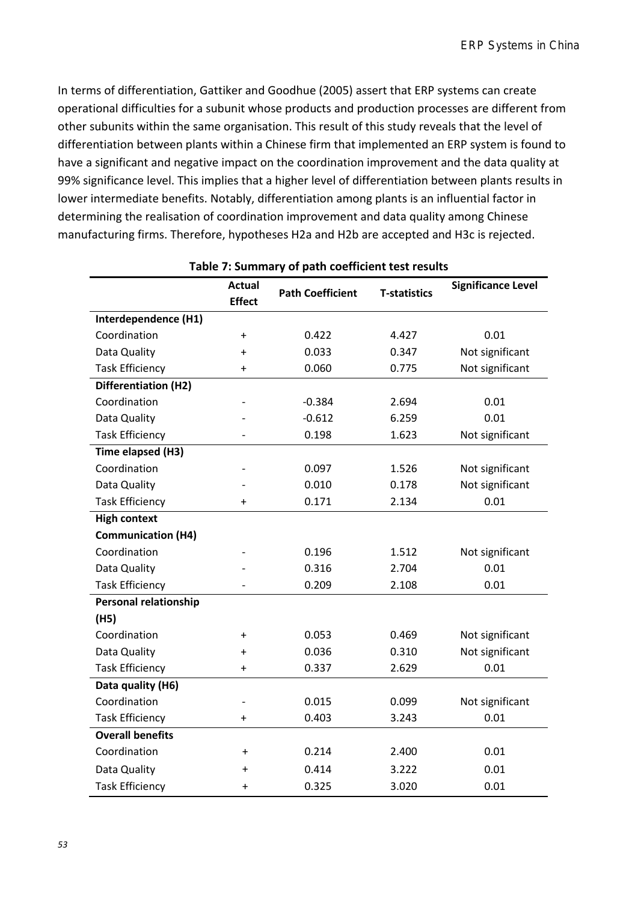In terms of differentiation, Gattiker and Goodhue (2005) assert that ERP systems can create operational difficulties for a subunit whose products and production processes are different from other subunits within the same organisation. This result of this study reveals that the level of differentiation between plants within a Chinese firm that implemented an ERP system is found to have a significant and negative impact on the coordination improvement and the data quality at 99% significance level. This implies that a higher level of differentiation between plants results in lower intermediate benefits. Notably, differentiation among plants is an influential factor in determining the realisation of coordination improvement and data quality among Chinese manufacturing firms. Therefore, hypotheses H2a and H2b are accepted and H3c is rejected.

|                              | <b>Actual</b>  | <b>Path Coefficient</b> | <b>T-statistics</b> | <b>Significance Level</b> |  |
|------------------------------|----------------|-------------------------|---------------------|---------------------------|--|
|                              | <b>Effect</b>  |                         |                     |                           |  |
| Interdependence (H1)         |                |                         |                     |                           |  |
| Coordination                 | $\ddot{}$      | 0.422                   | 4.427               | 0.01                      |  |
| Data Quality                 | $\ddot{}$      | 0.033                   | 0.347               | Not significant           |  |
| <b>Task Efficiency</b>       | $\ddot{}$      | 0.060                   | 0.775               | Not significant           |  |
| Differentiation (H2)         |                |                         |                     |                           |  |
| Coordination                 |                | $-0.384$                | 2.694               | 0.01                      |  |
| Data Quality                 |                | $-0.612$                | 6.259               | 0.01                      |  |
| <b>Task Efficiency</b>       |                | 0.198                   | 1.623               | Not significant           |  |
| Time elapsed (H3)            |                |                         |                     |                           |  |
| Coordination                 |                | 0.097                   | 1.526               | Not significant           |  |
| Data Quality                 |                | 0.010                   | 0.178               | Not significant           |  |
| <b>Task Efficiency</b>       | +              | 0.171                   | 2.134               | 0.01                      |  |
| <b>High context</b>          |                |                         |                     |                           |  |
| <b>Communication (H4)</b>    |                |                         |                     |                           |  |
| Coordination                 |                | 0.196                   | 1.512               | Not significant           |  |
| Data Quality                 |                | 0.316                   | 0.01<br>2.704       |                           |  |
| <b>Task Efficiency</b>       |                | 0.209                   | 2.108               | 0.01                      |  |
| <b>Personal relationship</b> |                |                         |                     |                           |  |
| (H5)                         |                |                         |                     |                           |  |
| Coordination                 | $\ddot{}$      | 0.053                   | 0.469               | Not significant           |  |
| Data Quality                 | $\ddot{}$      | 0.036                   | 0.310               | Not significant           |  |
| <b>Task Efficiency</b>       | $\ddot{}$      | 0.337                   | 2.629               | 0.01                      |  |
| Data quality (H6)            |                |                         |                     |                           |  |
| Coordination                 | $\overline{a}$ | 0.015                   | 0.099               | Not significant           |  |
| <b>Task Efficiency</b>       | $\ddot{}$      | 0.403                   | 3.243               | 0.01                      |  |
| <b>Overall benefits</b>      |                |                         |                     |                           |  |
| Coordination                 | $\ddot{}$      | 0.214                   | 2.400               | 0.01                      |  |
| Data Quality                 | $\ddot{}$      | 0.414                   | 3.222               | 0.01                      |  |
| <b>Task Efficiency</b>       | $\ddot{}$      | 0.325                   | 3.020               | 0.01                      |  |

#### **Table 7: Summary of path coefficient test results**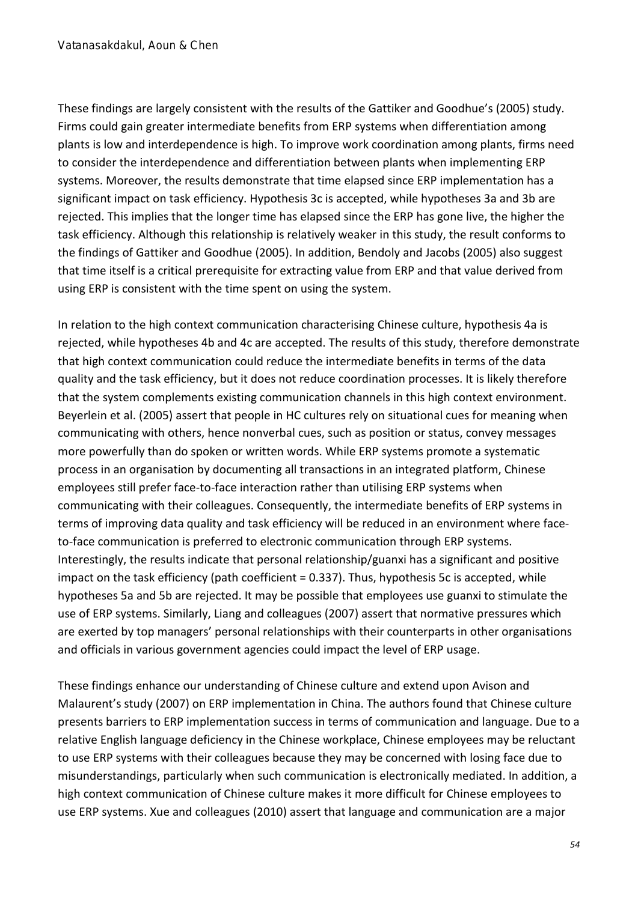These findings are largely consistent with the results of the Gattiker and Goodhue's (2005) study. Firms could gain greater intermediate benefits from ERP systems when differentiation among plants is low and interdependence is high. To improve work coordination among plants, firms need to consider the interdependence and differentiation between plants when implementing ERP systems. Moreover, the results demonstrate that time elapsed since ERP implementation has a significant impact on task efficiency. Hypothesis 3c is accepted, while hypotheses 3a and 3b are rejected. This implies that the longer time has elapsed since the ERP has gone live, the higher the task efficiency. Although this relationship is relatively weaker in this study, the result conforms to the findings of Gattiker and Goodhue (2005). In addition, Bendoly and Jacobs (2005) also suggest that time itself is a critical prerequisite for extracting value from ERP and that value derived from using ERP is consistent with the time spent on using the system.

In relation to the high context communication characterising Chinese culture, hypothesis 4a is rejected, while hypotheses 4b and 4c are accepted. The results of this study, therefore demonstrate that high context communication could reduce the intermediate benefits in terms of the data quality and the task efficiency, but it does not reduce coordination processes. It is likely therefore that the system complements existing communication channels in this high context environment. Beyerlein et al. (2005) assert that people in HC cultures rely on situational cues for meaning when communicating with others, hence nonverbal cues, such as position or status, convey messages more powerfully than do spoken or written words. While ERP systems promote a systematic process in an organisation by documenting all transactions in an integrated platform, Chinese employees still prefer face-to-face interaction rather than utilising ERP systems when communicating with their colleagues. Consequently, the intermediate benefits of ERP systems in terms of improving data quality and task efficiency will be reduced in an environment where faceto-face communication is preferred to electronic communication through ERP systems. Interestingly, the results indicate that personal relationship/guanxi has a significant and positive impact on the task efficiency (path coefficient = 0.337). Thus, hypothesis 5c is accepted, while hypotheses 5a and 5b are rejected. It may be possible that employees use guanxi to stimulate the use of ERP systems. Similarly, Liang and colleagues (2007) assert that normative pressures which are exerted by top managers' personal relationships with their counterparts in other organisations and officials in various government agencies could impact the level of ERP usage.

These findings enhance our understanding of Chinese culture and extend upon Avison and Malaurent's study (2007) on ERP implementation in China. The authors found that Chinese culture presents barriers to ERP implementation success in terms of communication and language. Due to a relative English language deficiency in the Chinese workplace, Chinese employees may be reluctant to use ERP systems with their colleagues because they may be concerned with losing face due to misunderstandings, particularly when such communication is electronically mediated. In addition, a high context communication of Chinese culture makes it more difficult for Chinese employees to use ERP systems. Xue and colleagues (2010) assert that language and communication are a major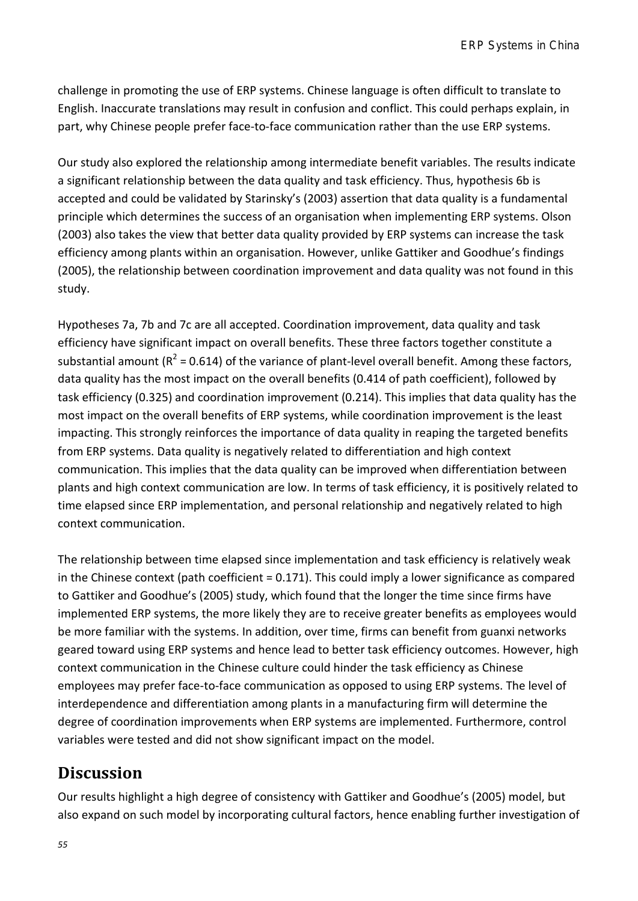challenge in promoting the use of ERP systems. Chinese language is often difficult to translate to English. Inaccurate translations may result in confusion and conflict. This could perhaps explain, in part, why Chinese people prefer face-to-face communication rather than the use ERP systems.

Our study also explored the relationship among intermediate benefit variables. The results indicate a significant relationship between the data quality and task efficiency. Thus, hypothesis 6b is accepted and could be validated by Starinsky's (2003) assertion that data quality is a fundamental principle which determines the success of an organisation when implementing ERP systems. Olson (2003) also takes the view that better data quality provided by ERP systems can increase the task efficiency among plants within an organisation. However, unlike Gattiker and Goodhue's findings (2005), the relationship between coordination improvement and data quality was not found in this study.

Hypotheses 7a, 7b and 7c are all accepted. Coordination improvement, data quality and task efficiency have significant impact on overall benefits. These three factors together constitute a substantial amount ( $R^2$  = 0.614) of the variance of plant-level overall benefit. Among these factors, data quality has the most impact on the overall benefits (0.414 of path coefficient), followed by task efficiency (0.325) and coordination improvement (0.214). This implies that data quality has the most impact on the overall benefits of ERP systems, while coordination improvement is the least impacting. This strongly reinforces the importance of data quality in reaping the targeted benefits from ERP systems. Data quality is negatively related to differentiation and high context communication. This implies that the data quality can be improved when differentiation between plants and high context communication are low. In terms of task efficiency, it is positively related to time elapsed since ERP implementation, and personal relationship and negatively related to high context communication.

The relationship between time elapsed since implementation and task efficiency is relatively weak in the Chinese context (path coefficient = 0.171). This could imply a lower significance as compared to Gattiker and Goodhue's (2005) study, which found that the longer the time since firms have implemented ERP systems, the more likely they are to receive greater benefits as employees would be more familiar with the systems. In addition, over time, firms can benefit from guanxi networks geared toward using ERP systems and hence lead to better task efficiency outcomes. However, high context communication in the Chinese culture could hinder the task efficiency as Chinese employees may prefer face-to-face communication as opposed to using ERP systems. The level of interdependence and differentiation among plants in a manufacturing firm will determine the degree of coordination improvements when ERP systems are implemented. Furthermore, control variables were tested and did not show significant impact on the model.

## **Discussion**

Our results highlight a high degree of consistency with Gattiker and Goodhue's (2005) model, but also expand on such model by incorporating cultural factors, hence enabling further investigation of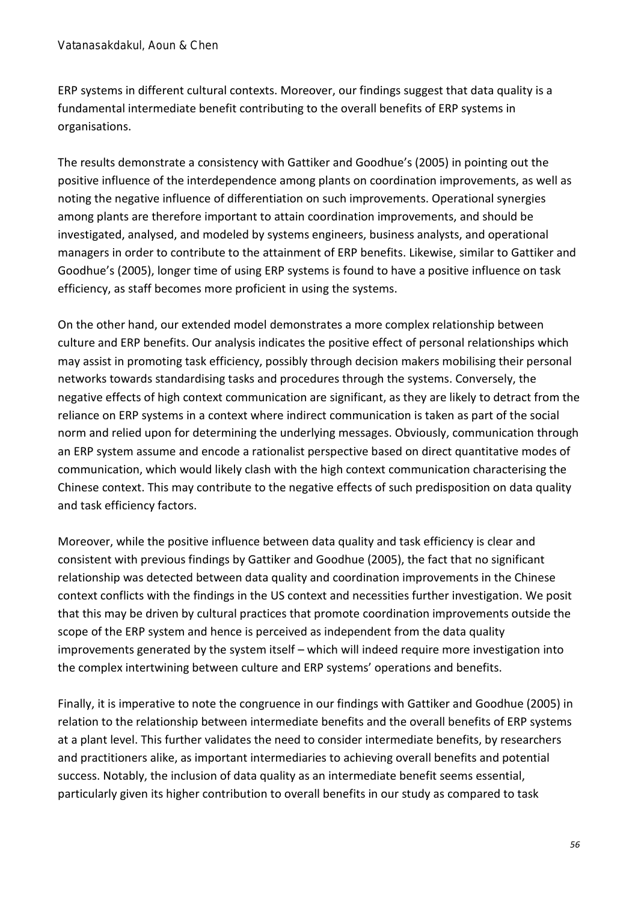ERP systems in different cultural contexts. Moreover, our findings suggest that data quality is a fundamental intermediate benefit contributing to the overall benefits of ERP systems in organisations.

The results demonstrate a consistency with Gattiker and Goodhue's (2005) in pointing out the positive influence of the interdependence among plants on coordination improvements, as well as noting the negative influence of differentiation on such improvements. Operational synergies among plants are therefore important to attain coordination improvements, and should be investigated, analysed, and modeled by systems engineers, business analysts, and operational managers in order to contribute to the attainment of ERP benefits. Likewise, similar to Gattiker and Goodhue's (2005), longer time of using ERP systems is found to have a positive influence on task efficiency, as staff becomes more proficient in using the systems.

On the other hand, our extended model demonstrates a more complex relationship between culture and ERP benefits. Our analysis indicates the positive effect of personal relationships which may assist in promoting task efficiency, possibly through decision makers mobilising their personal networks towards standardising tasks and procedures through the systems. Conversely, the negative effects of high context communication are significant, as they are likely to detract from the reliance on ERP systems in a context where indirect communication is taken as part of the social norm and relied upon for determining the underlying messages. Obviously, communication through an ERP system assume and encode a rationalist perspective based on direct quantitative modes of communication, which would likely clash with the high context communication characterising the Chinese context. This may contribute to the negative effects of such predisposition on data quality and task efficiency factors.

Moreover, while the positive influence between data quality and task efficiency is clear and consistent with previous findings by Gattiker and Goodhue (2005), the fact that no significant relationship was detected between data quality and coordination improvements in the Chinese context conflicts with the findings in the US context and necessities further investigation. We posit that this may be driven by cultural practices that promote coordination improvements outside the scope of the ERP system and hence is perceived as independent from the data quality improvements generated by the system itself – which will indeed require more investigation into the complex intertwining between culture and ERP systems' operations and benefits.

Finally, it is imperative to note the congruence in our findings with Gattiker and Goodhue (2005) in relation to the relationship between intermediate benefits and the overall benefits of ERP systems at a plant level. This further validates the need to consider intermediate benefits, by researchers and practitioners alike, as important intermediaries to achieving overall benefits and potential success. Notably, the inclusion of data quality as an intermediate benefit seems essential, particularly given its higher contribution to overall benefits in our study as compared to task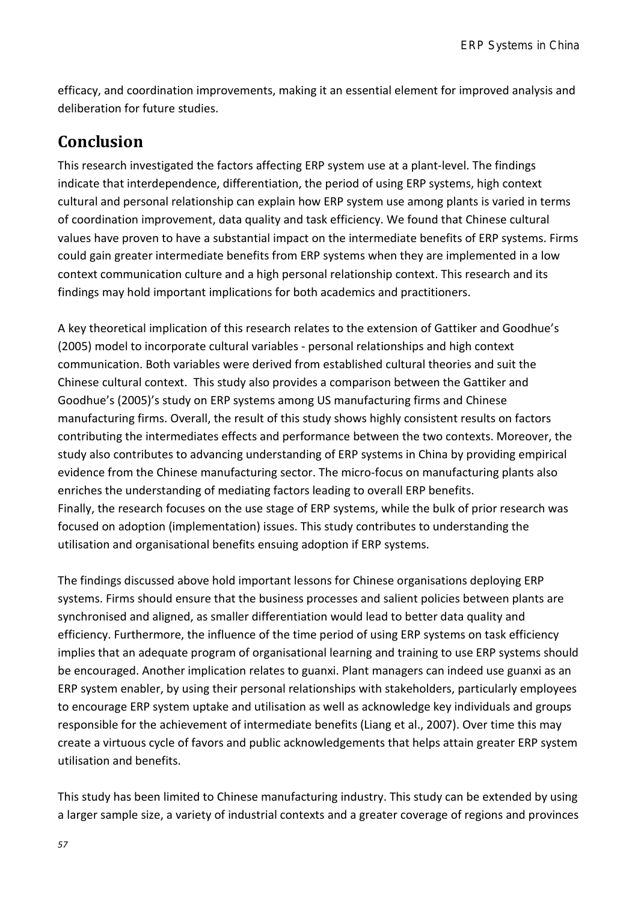efficacy, and coordination improvements, making it an essential element for improved analysis and deliberation for future studies.

## **Conclusion**

This research investigated the factors affecting ERP system use at a plant-level. The findings indicate that interdependence, differentiation, the period of using ERP systems, high context cultural and personal relationship can explain how ERP system use among plants is varied in terms of coordination improvement, data quality and task efficiency. We found that Chinese cultural values have proven to have a substantial impact on the intermediate benefits of ERP systems. Firms could gain greater intermediate benefits from ERP systems when they are implemented in a low context communication culture and a high personal relationship context. This research and its findings may hold important implications for both academics and practitioners.

A key theoretical implication of this research relates to the extension of Gattiker and Goodhue's (2005) model to incorporate cultural variables - personal relationships and high context communication. Both variables were derived from established cultural theories and suit the Chinese cultural context. This study also provides a comparison between the Gattiker and Goodhue's (2005)'s study on ERP systems among US manufacturing firms and Chinese manufacturing firms. Overall, the result of this study shows highly consistent results on factors contributing the intermediates effects and performance between the two contexts. Moreover, the study also contributes to advancing understanding of ERP systems in China by providing empirical evidence from the Chinese manufacturing sector. The micro-focus on manufacturing plants also enriches the understanding of mediating factors leading to overall ERP benefits. Finally, the research focuses on the use stage of ERP systems, while the bulk of prior research was focused on adoption (implementation) issues. This study contributes to understanding the utilisation and organisational benefits ensuing adoption if ERP systems.

The findings discussed above hold important lessons for Chinese organisations deploying ERP systems. Firms should ensure that the business processes and salient policies between plants are synchronised and aligned, as smaller differentiation would lead to better data quality and efficiency. Furthermore, the influence of the time period of using ERP systems on task efficiency implies that an adequate program of organisational learning and training to use ERP systems should be encouraged. Another implication relates to guanxi. Plant managers can indeed use guanxi as an ERP system enabler, by using their personal relationships with stakeholders, particularly employees to encourage ERP system uptake and utilisation as well as acknowledge key individuals and groups responsible for the achievement of intermediate benefits (Liang et al., 2007). Over time this may create a virtuous cycle of favors and public acknowledgements that helps attain greater ERP system utilisation and benefits.

This study has been limited to Chinese manufacturing industry. This study can be extended by using a larger sample size, a variety of industrial contexts and a greater coverage of regions and provinces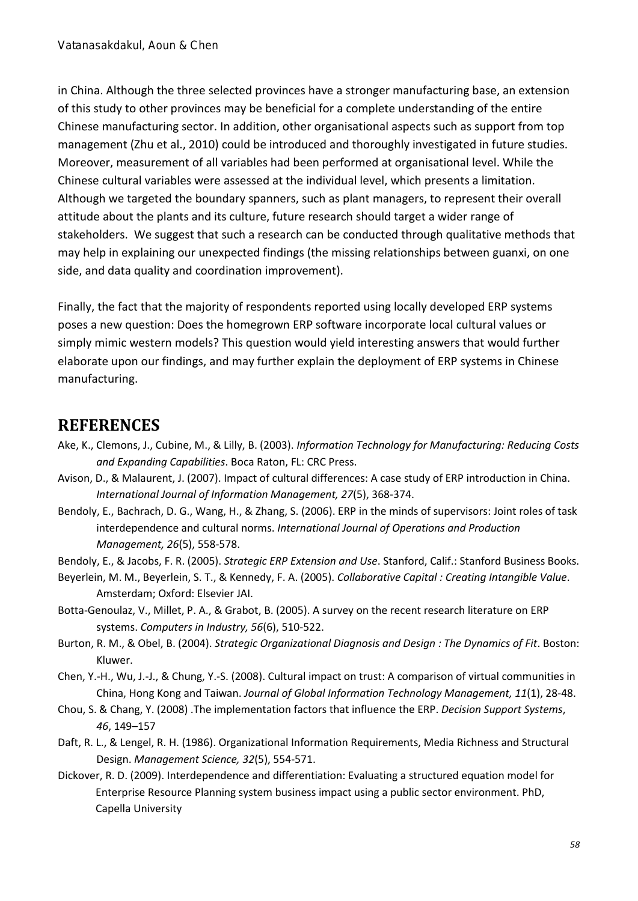in China. Although the three selected provinces have a stronger manufacturing base, an extension of this study to other provinces may be beneficial for a complete understanding of the entire Chinese manufacturing sector. In addition, other organisational aspects such as support from top management (Zhu et al., 2010) could be introduced and thoroughly investigated in future studies. Moreover, measurement of all variables had been performed at organisational level. While the Chinese cultural variables were assessed at the individual level, which presents a limitation. Although we targeted the boundary spanners, such as plant managers, to represent their overall attitude about the plants and its culture, future research should target a wider range of stakeholders. We suggest that such a research can be conducted through qualitative methods that may help in explaining our unexpected findings (the missing relationships between guanxi, on one side, and data quality and coordination improvement).

Finally, the fact that the majority of respondents reported using locally developed ERP systems poses a new question: Does the homegrown ERP software incorporate local cultural values or simply mimic western models? This question would yield interesting answers that would further elaborate upon our findings, and may further explain the deployment of ERP systems in Chinese manufacturing.

## **REFERENCES**

- Ake, K., Clemons, J., Cubine, M., & Lilly, B. (2003). *Information Technology for Manufacturing: Reducing Costs and Expanding Capabilities*. Boca Raton, FL: CRC Press.
- Avison, D., & Malaurent, J. (2007). Impact of cultural differences: A case study of ERP introduction in China. *International Journal of Information Management, 27*(5), 368-374.
- Bendoly, E., Bachrach, D. G., Wang, H., & Zhang, S. (2006). ERP in the minds of supervisors: Joint roles of task interdependence and cultural norms. *International Journal of Operations and Production Management, 26*(5), 558-578.
- Bendoly, E., & Jacobs, F. R. (2005). *Strategic ERP Extension and Use*. Stanford, Calif.: Stanford Business Books.
- Beyerlein, M. M., Beyerlein, S. T., & Kennedy, F. A. (2005). *Collaborative Capital : Creating Intangible Value*. Amsterdam; Oxford: Elsevier JAI.
- Botta-Genoulaz, V., Millet, P. A., & Grabot, B. (2005). A survey on the recent research literature on ERP systems. *Computers in Industry, 56*(6), 510-522.
- Burton, R. M., & Obel, B. (2004). *Strategic Organizational Diagnosis and Design : The Dynamics of Fit*. Boston: Kluwer.
- Chen, Y.-H., Wu, J.-J., & Chung, Y.-S. (2008). Cultural impact on trust: A comparison of virtual communities in China, Hong Kong and Taiwan. *Journal of Global Information Technology Management, 11*(1), 28-48.
- Chou, S. & Chang, Y. (2008) .The implementation factors that influence the ERP. *Decision Support Systems*, *46*, 149–157
- Daft, R. L., & Lengel, R. H. (1986). Organizational Information Requirements, Media Richness and Structural Design. *Management Science, 32*(5), 554-571.
- Dickover, R. D. (2009). Interdependence and differentiation: Evaluating a structured equation model for Enterprise Resource Planning system business impact using a public sector environment. PhD, Capella University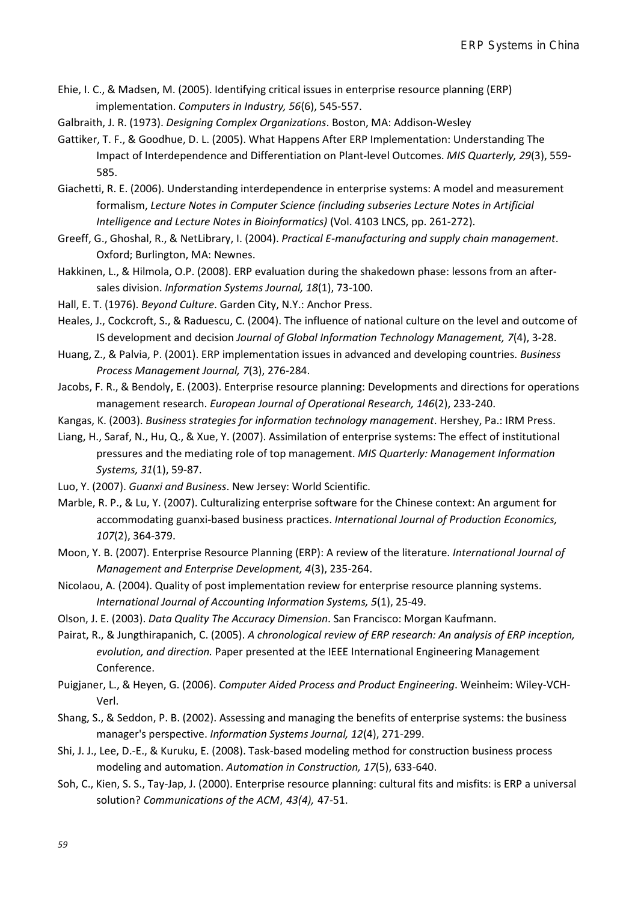- Ehie, I. C., & Madsen, M. (2005). Identifying critical issues in enterprise resource planning (ERP) implementation. *Computers in Industry, 56*(6), 545-557.
- Galbraith, J. R. (1973). *Designing Complex Organizations*. Boston, MA: Addison-Wesley
- Gattiker, T. F., & Goodhue, D. L. (2005). What Happens After ERP Implementation: Understanding The Impact of Interdependence and Differentiation on Plant-level Outcomes. *MIS Quarterly, 29*(3), 559- 585.
- Giachetti, R. E. (2006). Understanding interdependence in enterprise systems: A model and measurement formalism, *Lecture Notes in Computer Science (including subseries Lecture Notes in Artificial Intelligence and Lecture Notes in Bioinformatics)* (Vol. 4103 LNCS, pp. 261-272).
- Greeff, G., Ghoshal, R., & NetLibrary, I. (2004). *Practical E-manufacturing and supply chain management*. Oxford; Burlington, MA: Newnes.
- Hakkinen, L., & Hilmola, O.P. (2008). ERP evaluation during the shakedown phase: lessons from an aftersales division. *Information Systems Journal, 18*(1), 73-100.
- Hall, E. T. (1976). *Beyond Culture*. Garden City, N.Y.: Anchor Press.
- Heales, J., Cockcroft, S., & Raduescu, C. (2004). The influence of national culture on the level and outcome of IS development and decision *Journal of Global Information Technology Management, 7*(4), 3-28.
- Huang, Z., & Palvia, P. (2001). ERP implementation issues in advanced and developing countries. *Business Process Management Journal, 7*(3), 276-284.
- Jacobs, F. R., & Bendoly, E. (2003). Enterprise resource planning: Developments and directions for operations management research. *European Journal of Operational Research, 146*(2), 233-240.
- Kangas, K. (2003). *Business strategies for information technology management*. Hershey, Pa.: IRM Press.
- Liang, H., Saraf, N., Hu, Q., & Xue, Y. (2007). Assimilation of enterprise systems: The effect of institutional pressures and the mediating role of top management. *MIS Quarterly: Management Information Systems, 31*(1), 59-87.
- Luo, Y. (2007). *Guanxi and Business*. New Jersey: World Scientific.
- Marble, R. P., & Lu, Y. (2007). Culturalizing enterprise software for the Chinese context: An argument for accommodating guanxi-based business practices. *International Journal of Production Economics, 107*(2), 364-379.
- Moon, Y. B. (2007). Enterprise Resource Planning (ERP): A review of the literature. *International Journal of Management and Enterprise Development, 4*(3), 235-264.
- Nicolaou, A. (2004). Quality of post implementation review for enterprise resource planning systems. *International Journal of Accounting Information Systems, 5*(1), 25-49.
- Olson, J. E. (2003). *Data Quality The Accuracy Dimension*. San Francisco: Morgan Kaufmann.

Pairat, R., & Jungthirapanich, C. (2005). *A chronological review of ERP research: An analysis of ERP inception, evolution, and direction.* Paper presented at the IEEE International Engineering Management Conference.

- Puigjaner, L., & Heyen, G. (2006). *Computer Aided Process and Product Engineering*. Weinheim: Wiley-VCH-Verl.
- Shang, S., & Seddon, P. B. (2002). Assessing and managing the benefits of enterprise systems: the business manager's perspective. *Information Systems Journal, 12*(4), 271-299.
- Shi, J. J., Lee, D.-E., & Kuruku, E. (2008). Task-based modeling method for construction business process modeling and automation. *Automation in Construction, 17*(5), 633-640.
- Soh, C., Kien, S. S., Tay-Jap, J. (2000). Enterprise resource planning: cultural fits and misfits: is ERP a universal solution? *Communications of the ACM*, *43(4),* 47-51.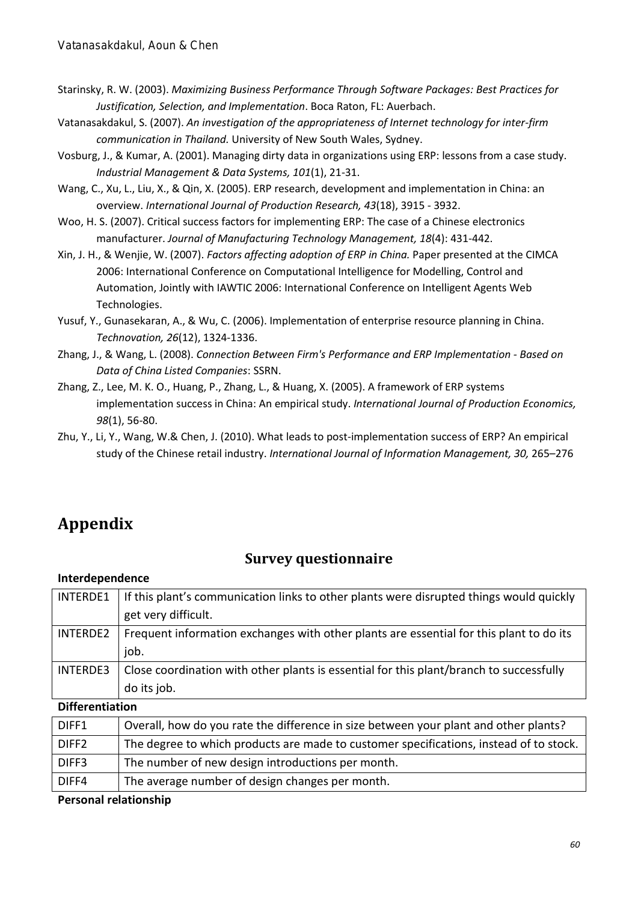- Starinsky, R. W. (2003). *Maximizing Business Performance Through Software Packages: Best Practices for Justification, Selection, and Implementation*. Boca Raton, FL: Auerbach.
- Vatanasakdakul, S. (2007). *An investigation of the appropriateness of Internet technology for inter-firm communication in Thailand.* University of New South Wales, Sydney.
- Vosburg, J., & Kumar, A. (2001). Managing dirty data in organizations using ERP: lessons from a case study. *Industrial Management & Data Systems, 101*(1), 21-31.
- Wang, C., Xu, L., Liu, X., & Qin, X. (2005). ERP research, development and implementation in China: an overview. *International Journal of Production Research, 43*(18), 3915 - 3932.
- Woo, H. S. (2007). Critical success factors for implementing ERP: The case of a Chinese electronics manufacturer. *Journal of Manufacturing Technology Management, 18*(4): 431-442.
- Xin, J. H., & Wenjie, W. (2007). *Factors affecting adoption of ERP in China.* Paper presented at the CIMCA 2006: International Conference on Computational Intelligence for Modelling, Control and Automation, Jointly with IAWTIC 2006: International Conference on Intelligent Agents Web Technologies.
- Yusuf, Y., Gunasekaran, A., & Wu, C. (2006). Implementation of enterprise resource planning in China. *Technovation, 26*(12), 1324-1336.
- Zhang, J., & Wang, L. (2008). *Connection Between Firm's Performance and ERP Implementation - Based on Data of China Listed Companies*: SSRN.
- Zhang, Z., Lee, M. K. O., Huang, P., Zhang, L., & Huang, X. (2005). A framework of ERP systems implementation success in China: An empirical study. *International Journal of Production Economics, 98*(1), 56-80.
- Zhu, Y., Li, Y., Wang, W.& Chen, J. (2010). What leads to post-implementation success of ERP? An empirical study of the Chinese retail industry. *International Journal of Information Management, 30,* 265–276

## **Appendix**

## **Survey questionnaire**

#### **Interdependence**

| <b>INTERDE1</b>        | If this plant's communication links to other plants were disrupted things would quickly |
|------------------------|-----------------------------------------------------------------------------------------|
|                        | get very difficult.                                                                     |
| <b>INTERDE2</b>        | Frequent information exchanges with other plants are essential for this plant to do its |
|                        | job.                                                                                    |
| <b>INTERDE3</b>        | Close coordination with other plants is essential for this plant/branch to successfully |
|                        | do its job.                                                                             |
| <b>Differentiation</b> |                                                                                         |
| DIFF1                  | Overall, how do you rate the difference in size between your plant and other plants?    |
| DIFF <sub>2</sub>      | The degree to which products are made to customer specifications, instead of to stock.  |
| DIFF3                  | The number of new design introductions per month.                                       |

## DIFF4 The average number of design changes per month.

#### **Personal relationship**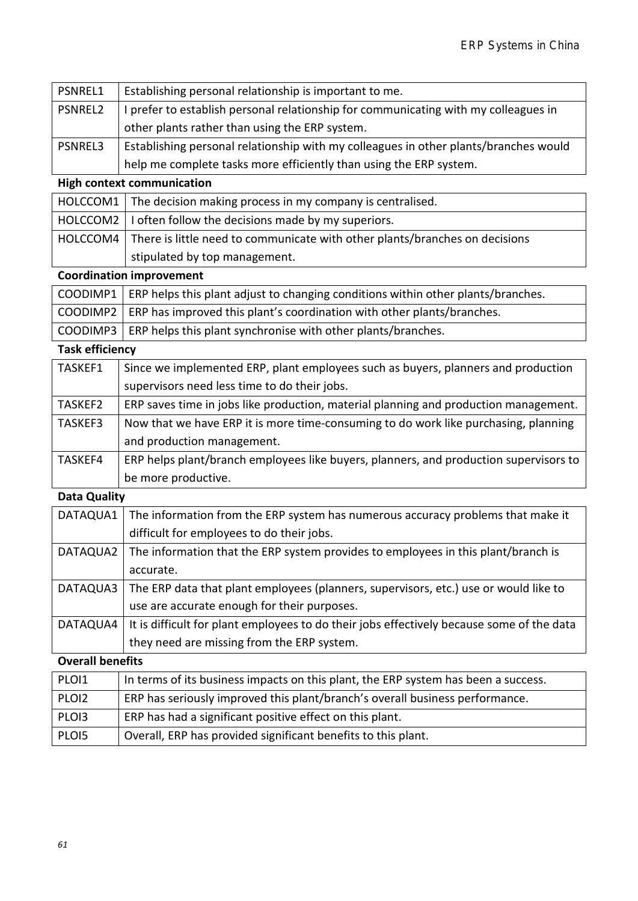| PSNREL1 | Establishing personal relationship is important to me.                               |
|---------|--------------------------------------------------------------------------------------|
| PSNREL2 | I prefer to establish personal relationship for communicating with my colleagues in  |
|         | other plants rather than using the ERP system.                                       |
| PSNREL3 | Establishing personal relationship with my colleagues in other plants/branches would |
|         | help me complete tasks more efficiently than using the ERP system.                   |

### **High context communication**

| $\mid$ HOLCCOM1 $\mid$ The decision making process in my company is centralised.       |
|----------------------------------------------------------------------------------------|
| HOLCCOM2   I often follow the decisions made by my superiors.                          |
| HOLCCOM4   There is little need to communicate with other plants/branches on decisions |
| stipulated by top management.                                                          |

#### **Coordination improvement**

| COODIMP1   ERP helps this plant adjust to changing conditions within other plants/branches. |
|---------------------------------------------------------------------------------------------|
| COODIMP2   ERP has improved this plant's coordination with other plants/branches.           |
| COODIMP3   ERP helps this plant synchronise with other plants/branches.                     |
|                                                                                             |

## **Task efficiency**

| TASKEF1 | Since we implemented ERP, plant employees such as buyers, planners and production     |
|---------|---------------------------------------------------------------------------------------|
|         | supervisors need less time to do their jobs.                                          |
| TASKEF2 | ERP saves time in jobs like production, material planning and production management.  |
| TASKEF3 | Now that we have ERP it is more time-consuming to do work like purchasing, planning   |
|         | and production management.                                                            |
| TASKEF4 | ERP helps plant/branch employees like buyers, planners, and production supervisors to |
|         | be more productive.                                                                   |

#### **Data Quality**

| DATAQUA1 | The information from the ERP system has numerous accuracy problems that make it           |
|----------|-------------------------------------------------------------------------------------------|
|          | difficult for employees to do their jobs.                                                 |
| DATAQUA2 | The information that the ERP system provides to employees in this plant/branch is         |
|          | accurate.                                                                                 |
| DATAQUA3 | The ERP data that plant employees (planners, supervisors, etc.) use or would like to      |
|          | use are accurate enough for their purposes.                                               |
| DATAQUA4 | It is difficult for plant employees to do their jobs effectively because some of the data |
|          | they need are missing from the ERP system.                                                |

### **Overall benefits**

| PLOI1             | In terms of its business impacts on this plant, the ERP system has been a success. |
|-------------------|------------------------------------------------------------------------------------|
| PLOI2             | ERP has seriously improved this plant/branch's overall business performance.       |
| PLO <sub>13</sub> | ERP has had a significant positive effect on this plant.                           |
| PLOI5             | Overall, ERP has provided significant benefits to this plant.                      |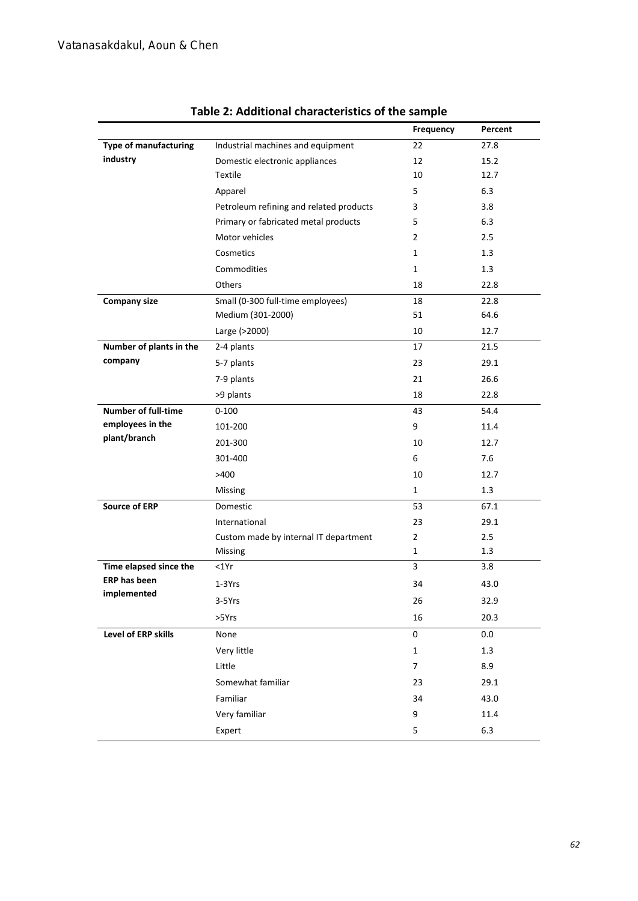|                              |                                         | Frequency      | Percent |
|------------------------------|-----------------------------------------|----------------|---------|
| <b>Type of manufacturing</b> | Industrial machines and equipment       | 22             | 27.8    |
| industry                     | Domestic electronic appliances          | 12             | 15.2    |
|                              | Textile                                 | 10             | 12.7    |
|                              | Apparel                                 | 5              | 6.3     |
|                              | Petroleum refining and related products | 3              | 3.8     |
|                              | Primary or fabricated metal products    | 5              | 6.3     |
|                              | Motor vehicles                          | $\overline{2}$ | 2.5     |
|                              | Cosmetics                               | $\mathbf{1}$   | 1.3     |
|                              | Commodities                             | $\mathbf{1}$   | 1.3     |
|                              | Others                                  | 18             | 22.8    |
| <b>Company size</b>          | Small (0-300 full-time employees)       | 18             | 22.8    |
|                              | Medium (301-2000)                       | 51             | 64.6    |
|                              | Large (>2000)                           | 10             | 12.7    |
| Number of plants in the      | 2-4 plants                              | 17             | 21.5    |
| company                      | 5-7 plants                              | 23             | 29.1    |
|                              | 7-9 plants                              | 21             | 26.6    |
|                              | >9 plants                               | 18             | 22.8    |
| Number of full-time          | $0 - 100$                               | 43             | 54.4    |
| employees in the             | 101-200                                 | 9              | 11.4    |
| plant/branch                 | 201-300                                 | 10             | 12.7    |
|                              | 301-400                                 | 6              | 7.6     |
|                              | >400                                    | 10             | 12.7    |
|                              | Missing                                 | $\mathbf{1}$   | 1.3     |
| <b>Source of ERP</b>         | Domestic                                | 53             | 67.1    |
|                              | International                           | 23             | 29.1    |
|                              | Custom made by internal IT department   | $\overline{2}$ | 2.5     |
|                              | Missing                                 | $\mathbf{1}$   | 1.3     |
| Time elapsed since the       | <1Yr                                    | 3              | 3.8     |
| <b>ERP has been</b>          | $1-3Yrs$                                | 34             | 43.0    |
| implemented                  | 3-5Yrs                                  | 26             | 32.9    |
|                              | >5Yrs                                   | 16             | 20.3    |
| Level of ERP skills          | None                                    | 0              | 0.0     |
|                              | Very little                             | $\mathbf{1}$   | $1.3$   |
|                              | Little                                  | 7              | 8.9     |
|                              | Somewhat familiar                       | 23             | 29.1    |
|                              | Familiar                                | 34             | 43.0    |
|                              | Very familiar                           | 9              | 11.4    |
|                              | Expert                                  | 5              | 6.3     |

### **Table 2: Additional characteristics of the sample**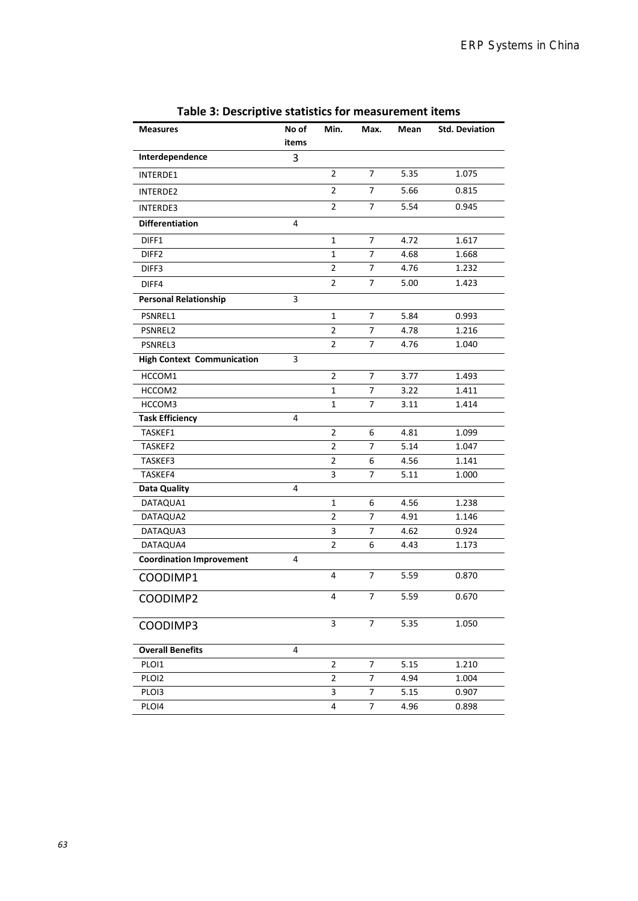| <b>Measures</b>                   | No of | Min.           | Max.           | Mean | <b>Std. Deviation</b> |
|-----------------------------------|-------|----------------|----------------|------|-----------------------|
|                                   | items |                |                |      |                       |
| Interdependence                   | 3     |                |                |      |                       |
| INTERDE1                          |       | 2              | 7              | 5.35 | 1.075                 |
| INTERDE2                          |       | $\overline{2}$ | $\overline{7}$ | 5.66 | 0.815                 |
| INTERDE3                          |       | $\overline{2}$ | 7              | 5.54 | 0.945                 |
| <b>Differentiation</b>            | 4     |                |                |      |                       |
| DIFF1                             |       | $\mathbf{1}$   | $\overline{7}$ | 4.72 | 1.617                 |
| DIFF <sub>2</sub>                 |       | $\mathbf{1}$   | 7              | 4.68 | 1.668                 |
| DIFF3                             |       | $\overline{2}$ | 7              | 4.76 | 1.232                 |
| DIFF4                             |       | 2              | 7              | 5.00 | 1.423                 |
| <b>Personal Relationship</b>      | 3     |                |                |      |                       |
| PSNREL1                           |       | 1              | 7              | 5.84 | 0.993                 |
| PSNREL2                           |       | $\overline{2}$ | 7              | 4.78 | 1.216                 |
| PSNREL3                           |       | $\overline{2}$ | 7              | 4.76 | 1.040                 |
| <b>High Context Communication</b> | 3     |                |                |      |                       |
| HCCOM1                            |       | $\overline{2}$ | 7              | 3.77 | 1.493                 |
| HCCOM2                            |       | 1              | 7              | 3.22 | 1.411                 |
| HCCOM3                            |       | 1              | 7              | 3.11 | 1.414                 |
| <b>Task Efficiency</b>            | 4     |                |                |      |                       |
| TASKEF1                           |       | $\overline{2}$ | 6              | 4.81 | 1.099                 |
| TASKEF2                           |       | 2              | 7              | 5.14 | 1.047                 |
| TASKEF3                           |       | $\overline{2}$ | 6              | 4.56 | 1.141                 |
| TASKEF4                           |       | 3              | 7              | 5.11 | 1.000                 |
| Data Quality                      | 4     |                |                |      |                       |
| DATAQUA1                          |       | 1              | 6              | 4.56 | 1.238                 |
| DATAQUA2                          |       | $\overline{2}$ | 7              | 4.91 | 1.146                 |
| DATAQUA3                          |       | 3              | 7              | 4.62 | 0.924                 |
| DATAQUA4                          |       | $\overline{2}$ | 6              | 4.43 | 1.173                 |
| <b>Coordination Improvement</b>   | 4     |                |                |      |                       |
| COODIMP1                          |       | 4              | 7              | 5.59 | 0.870                 |
| COODIMP2                          |       | 4              | 7              | 5.59 | 0.670                 |
| COODIMP3                          |       | 3              | 7              | 5.35 | 1.050                 |
| <b>Overall Benefits</b>           | 4     |                |                |      |                       |
| PLOI1                             |       | 2              | 7              | 5.15 | 1.210                 |
| PLOI2                             |       | 2              | 7              | 4.94 | 1.004                 |
| PLO <sub>13</sub>                 |       | 3              | 7              | 5.15 | 0.907                 |
| PLOI4                             |       | 4              | 7              | 4.96 | 0.898                 |

#### **Table 3: Descriptive statistics for measurement items**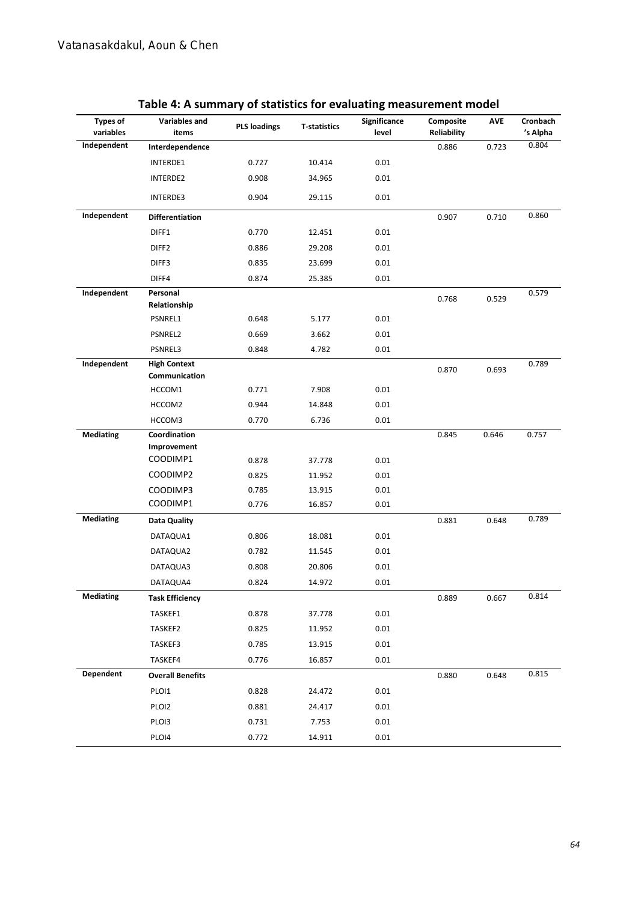| Types of<br>variables | Variables and<br>items               | <b>PLS loadings</b> | <b>T-statistics</b> | Significance<br>level | Composite<br><b>Reliability</b> | <b>AVE</b> | Cronbach<br>'s Alpha |
|-----------------------|--------------------------------------|---------------------|---------------------|-----------------------|---------------------------------|------------|----------------------|
| Independent           | Interdependence                      |                     |                     |                       | 0.886                           | 0.723      | 0.804                |
|                       | INTERDE1                             | 0.727               | 10.414              | 0.01                  |                                 |            |                      |
|                       | INTERDE2                             | 0.908               | 34.965              | 0.01                  |                                 |            |                      |
|                       | INTERDE3                             | 0.904               | 29.115              | 0.01                  |                                 |            |                      |
| Independent           | <b>Differentiation</b>               |                     |                     |                       | 0.907                           | 0.710      | 0.860                |
|                       | DIFF1                                | 0.770               | 12.451              | 0.01                  |                                 |            |                      |
|                       | DIFF <sub>2</sub>                    | 0.886               | 29.208              | 0.01                  |                                 |            |                      |
|                       | DIFF3                                | 0.835               | 23.699              | 0.01                  |                                 |            |                      |
|                       | DIFF4                                | 0.874               | 25.385              | 0.01                  |                                 |            |                      |
| Independent           | Personal                             |                     |                     |                       | 0.768                           | 0.529      | 0.579                |
|                       | Relationship                         |                     |                     |                       |                                 |            |                      |
|                       | PSNREL1                              | 0.648               | 5.177               | 0.01                  |                                 |            |                      |
|                       | PSNREL2                              | 0.669               | 3.662               | 0.01                  |                                 |            |                      |
|                       | PSNREL3                              | 0.848               | 4.782               | 0.01                  |                                 |            |                      |
| Independent           | <b>High Context</b><br>Communication |                     |                     |                       | 0.870                           | 0.693      | 0.789                |
|                       | HCCOM1                               | 0.771               | 7.908               | 0.01                  |                                 |            |                      |
|                       | HCCOM2                               | 0.944               | 14.848              | 0.01                  |                                 |            |                      |
|                       | HCCOM3                               | 0.770               | 6.736               | 0.01                  |                                 |            |                      |
| <b>Mediating</b>      | Coordination                         |                     |                     |                       | 0.845                           | 0.646      | 0.757                |
|                       | Improvement                          |                     |                     |                       |                                 |            |                      |
|                       | COODIMP1                             | 0.878               | 37.778              | 0.01                  |                                 |            |                      |
|                       | COODIMP2                             | 0.825               | 11.952              | 0.01                  |                                 |            |                      |
|                       | COODIMP3                             | 0.785               | 13.915              | 0.01                  |                                 |            |                      |
|                       | COODIMP1                             | 0.776               | 16.857              | 0.01                  |                                 |            |                      |
| <b>Mediating</b>      | Data Quality                         |                     |                     |                       | 0.881                           | 0.648      | 0.789                |
|                       | DATAQUA1                             | 0.806               | 18.081              | 0.01                  |                                 |            |                      |
|                       | DATAQUA2                             | 0.782               | 11.545              | 0.01                  |                                 |            |                      |
|                       | DATAQUA3                             | 0.808               | 20.806              | 0.01                  |                                 |            |                      |
|                       | DATAQUA4                             | 0.824               | 14.972              | 0.01                  |                                 |            |                      |
| <b>Mediating</b>      | <b>Task Efficiency</b>               |                     |                     |                       | 0.889                           | 0.667      | 0.814                |
|                       | TASKEF1                              | 0.878               | 37.778              | 0.01                  |                                 |            |                      |
|                       | TASKEF2                              | 0.825               | 11.952              | $0.01\,$              |                                 |            |                      |
|                       | TASKEF3                              | 0.785               | 13.915              | 0.01                  |                                 |            |                      |
|                       | TASKEF4                              | 0.776               | 16.857              | 0.01                  |                                 |            |                      |
| <b>Dependent</b>      | <b>Overall Benefits</b>              |                     |                     |                       | 0.880                           | 0.648      | 0.815                |
|                       | PLOI1                                | 0.828               | 24.472              | 0.01                  |                                 |            |                      |
|                       | PLOI2                                | 0.881               | 24.417              | $0.01\,$              |                                 |            |                      |
|                       | PLOI3                                | 0.731               | 7.753               | $0.01\,$              |                                 |            |                      |
|                       | PLOI4                                | 0.772               | 14.911              | 0.01                  |                                 |            |                      |

#### **Table 4: A summary of statistics for evaluating measurement model**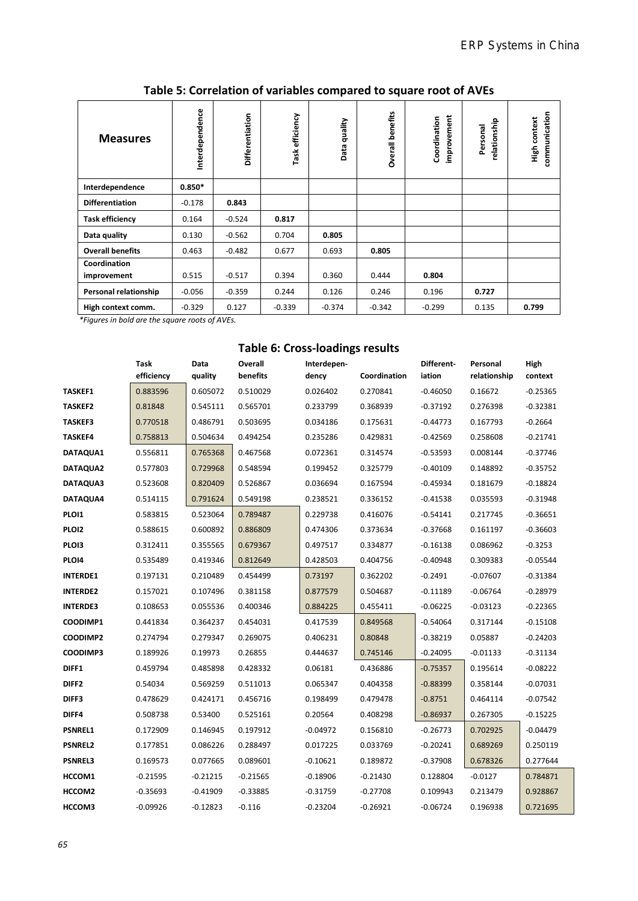| <b>Measures</b>         | Interdependence | Differentiation | Task efficiency | quality<br>Data | Overall benefits | improvement<br>Coordination | relationship<br>Personal | communication<br>context<br><b>Ligh</b> |
|-------------------------|-----------------|-----------------|-----------------|-----------------|------------------|-----------------------------|--------------------------|-----------------------------------------|
| Interdependence         | $0.850*$        |                 |                 |                 |                  |                             |                          |                                         |
| <b>Differentiation</b>  | $-0.178$        | 0.843           |                 |                 |                  |                             |                          |                                         |
| <b>Task efficiency</b>  | 0.164           | $-0.524$        | 0.817           |                 |                  |                             |                          |                                         |
| Data quality            | 0.130           | $-0.562$        | 0.704           | 0.805           |                  |                             |                          |                                         |
| <b>Overall benefits</b> | 0.463           | $-0.482$        | 0.677           | 0.693           | 0.805            |                             |                          |                                         |
| Coordination            |                 |                 |                 |                 |                  |                             |                          |                                         |
| improvement             | 0.515           | $-0.517$        | 0.394           | 0.360           | 0.444            | 0.804                       |                          |                                         |
| Personal relationship   | $-0.056$        | $-0.359$        | 0.244           | 0.126           | 0.246            | 0.196                       | 0.727                    |                                         |
| High context comm.      | $-0.329$        | 0.127           | $-0.339$        | $-0.374$        | $-0.342$         | $-0.299$                    | 0.135                    | 0.799                                   |

**Table 5: Correlation of variables compared to square root of AVEs**

 *\*Figures in bold are the square roots of AVEs.*

#### **Table 6: Cross-loadings results**

|                   | Task<br>efficiency | Data<br>quality | Overall<br>benefits | Interdepen-<br>dency | Coordination | Different-<br>iation | Personal<br>relationship | High<br>context |
|-------------------|--------------------|-----------------|---------------------|----------------------|--------------|----------------------|--------------------------|-----------------|
| <b>TASKEF1</b>    | 0.883596           | 0.605072        | 0.510029            | 0.026402             | 0.270841     | $-0.46050$           | 0.16672                  | $-0.25365$      |
| <b>TASKEF2</b>    | 0.81848            | 0.545111        | 0.565701            | 0.233799             | 0.368939     | $-0.37192$           | 0.276398                 | $-0.32381$      |
| <b>TASKEF3</b>    | 0.770518           | 0.486791        | 0.503695            | 0.034186             | 0.175631     | $-0.44773$           | 0.167793                 | $-0.2664$       |
| <b>TASKEF4</b>    | 0.758813           | 0.504634        | 0.494254            | 0.235286             | 0.429831     | $-0.42569$           | 0.258608                 | $-0.21741$      |
| DATAQUA1          | 0.556811           | 0.765368        | 0.467568            | 0.072361             | 0.314574     | $-0.53593$           | 0.008144                 | $-0.37746$      |
| DATAQUA2          | 0.577803           | 0.729968        | 0.548594            | 0.199452             | 0.325779     | $-0.40109$           | 0.148892                 | $-0.35752$      |
| DATAQUA3          | 0.523608           | 0.820409        | 0.526867            | 0.036694             | 0.167594     | $-0.45934$           | 0.181679                 | $-0.18824$      |
| DATAQUA4          | 0.514115           | 0.791624        | 0.549198            | 0.238521             | 0.336152     | $-0.41538$           | 0.035593                 | $-0.31948$      |
| PLO11             | 0.583815           | 0.523064        | 0.789487            | 0.229738             | 0.416076     | $-0.54141$           | 0.217745                 | $-0.36651$      |
| PLO12             | 0.588615           | 0.600892        | 0.886809            | 0.474306             | 0.373634     | $-0.37668$           | 0.161197                 | $-0.36603$      |
| PLO13             | 0.312411           | 0.355565        | 0.679367            | 0.497517             | 0.334877     | $-0.16138$           | 0.086962                 | $-0.3253$       |
| PLO14             | 0.535489           | 0.419346        | 0.812649            | 0.428503             | 0.404756     | $-0.40948$           | 0.309383                 | $-0.05544$      |
| <b>INTERDE1</b>   | 0.197131           | 0.210489        | 0.454499            | 0.73197              | 0.362202     | $-0.2491$            | $-0.07607$               | $-0.31384$      |
| <b>INTERDE2</b>   | 0.157021           | 0.107496        | 0.381158            | 0.877579             | 0.504687     | $-0.11189$           | $-0.06764$               | $-0.28979$      |
| <b>INTERDE3</b>   | 0.108653           | 0.055536        | 0.400346            | 0.884225             | 0.455411     | $-0.06225$           | $-0.03123$               | $-0.22365$      |
| COODIMP1          | 0.441834           | 0.364237        | 0.454031            | 0.417539             | 0.849568     | $-0.54064$           | 0.317144                 | $-0.15108$      |
| COODIMP2          | 0.274794           | 0.279347        | 0.269075            | 0.406231             | 0.80848      | $-0.38219$           | 0.05887                  | $-0.24203$      |
| COODIMP3          | 0.189926           | 0.19973         | 0.26855             | 0.444637             | 0.745146     | $-0.24095$           | $-0.01133$               | $-0.31134$      |
| DIFF1             | 0.459794           | 0.485898        | 0.428332            | 0.06181              | 0.436886     | $-0.75357$           | 0.195614                 | $-0.08222$      |
| DIFF <sub>2</sub> | 0.54034            | 0.569259        | 0.511013            | 0.065347             | 0.404358     | $-0.88399$           | 0.358144                 | $-0.07031$      |
| DIFF3             | 0.478629           | 0.424171        | 0.456716            | 0.198499             | 0.479478     | $-0.8751$            | 0.464114                 | $-0.07542$      |
| DIFF4             | 0.508738           | 0.53400         | 0.525161            | 0.20564              | 0.408298     | $-0.86937$           | 0.267305                 | $-0.15225$      |
| PSNREL1           | 0.172909           | 0.146945        | 0.197912            | $-0.04972$           | 0.156810     | $-0.26773$           | 0.702925                 | $-0.04479$      |
| <b>PSNREL2</b>    | 0.177851           | 0.086226        | 0.288497            | 0.017225             | 0.033769     | $-0.20241$           | 0.689269                 | 0.250119        |
| <b>PSNREL3</b>    | 0.169573           | 0.077665        | 0.089601            | $-0.10621$           | 0.189872     | $-0.37908$           | 0.678326                 | 0.277644        |
| HCCOM1            | $-0.21595$         | $-0.21215$      | $-0.21565$          | $-0.18906$           | $-0.21430$   | 0.128804             | $-0.0127$                | 0.784871        |
| HCCOM2            | $-0.35693$         | $-0.41909$      | $-0.33885$          | $-0.31759$           | $-0.27708$   | 0.109943             | 0.213479                 | 0.928867        |
| HCCOM3            | $-0.09926$         | $-0.12823$      | $-0.116$            | $-0.23204$           | $-0.26921$   | $-0.06724$           | 0.196938                 | 0.721695        |